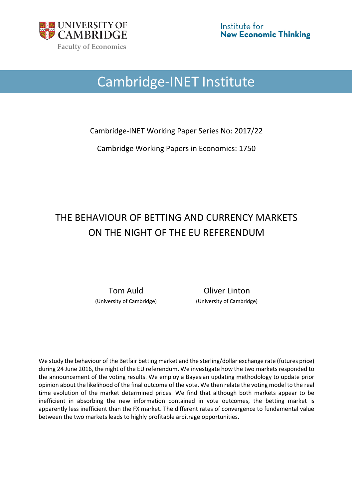

# Cambridge-INET Institute

Cambridge-INET Working Paper Series No: 2017/22

Cambridge Working Papers in Economics: 1750

# THE BEHAVIOUR OF BETTING AND CURRENCY MARKETS ON THE NIGHT OF THE EU REFERENDUM

Tom Auld **Communist Coliver Linton** (University of Cambridge) (University of Cambridge)

We study the behaviour of the Betfair betting market and the sterling/dollar exchange rate (futures price) during 24 June 2016, the night of the EU referendum. We investigate how the two markets responded to the announcement of the voting results. We employ a Bayesian updating methodology to update prior opinion about the likelihood of the final outcome of the vote. We then relate the voting model to the real time evolution of the market determined prices. We find that although both markets appear to be inefficient in absorbing the new information contained in vote outcomes, the betting market is apparently less inefficient than the FX market. The different rates of convergence to fundamental value between the two markets leads to highly profitable arbitrage opportunities.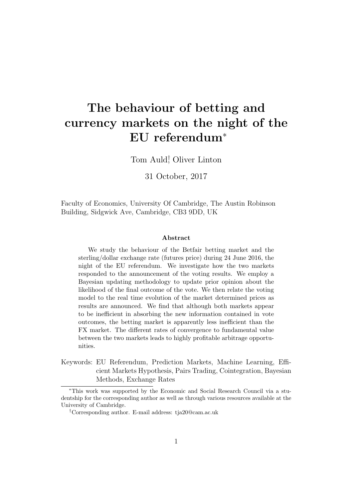# The behaviour of betting and currency markets on the night of the EU referendum<sup>∗</sup>

Tom Auld† , Oliver Linton

31 October, 2017

Faculty of Economics, University Of Cambridge, The Austin Robinson Building, Sidgwick Ave, Cambridge, CB3 9DD, UK

#### Abstract

We study the behaviour of the Betfair betting market and the sterling/dollar exchange rate (futures price) during 24 June 2016, the night of the EU referendum. We investigate how the two markets responded to the announcement of the voting results. We employ a Bayesian updating methodology to update prior opinion about the likelihood of the final outcome of the vote. We then relate the voting model to the real time evolution of the market determined prices as results are announced. We find that although both markets appear to be inefficient in absorbing the new information contained in vote outcomes, the betting market is apparently less inefficient than the FX market. The different rates of convergence to fundamental value between the two markets leads to highly profitable arbitrage opportunities.

Keywords: EU Referendum, Prediction Markets, Machine Learning, Efficient Markets Hypothesis, Pairs Trading, Cointegration, Bayesian Methods, Exchange Rates

<sup>∗</sup>This work was supported by the Economic and Social Research Council via a studentship for the corresponding author as well as through various resources available at the University of Cambridge.

<sup>†</sup>Corresponding author. E-mail address: tja20@cam.ac.uk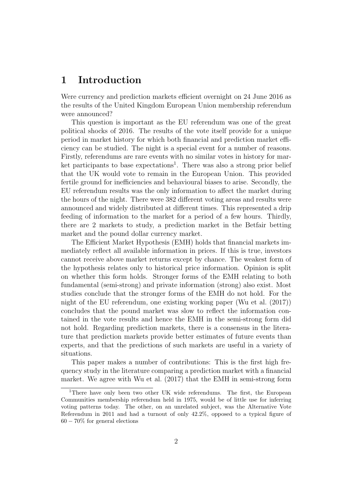# 1 Introduction

Were currency and prediction markets efficient overnight on 24 June 2016 as the results of the United Kingdom European Union membership referendum were announced?

This question is important as the EU referendum was one of the great political shocks of 2016. The results of the vote itself provide for a unique period in market history for which both financial and prediction market efficiency can be studied. The night is a special event for a number of reasons. Firstly, referendums are rare events with no similar votes in history for market participants to base expectations<sup>1</sup>. There was also a strong prior belief that the UK would vote to remain in the European Union. This provided fertile ground for inefficiencies and behavioural biases to arise. Secondly, the EU referendum results was the only information to affect the market during the hours of the night. There were 382 different voting areas and results were announced and widely distributed at different times. This represented a drip feeding of information to the market for a period of a few hours. Thirdly, there are 2 markets to study, a prediction market in the Betfair betting market and the pound dollar currency market.

The Efficient Market Hypothesis (EMH) holds that financial markets immediately reflect all available information in prices. If this is true, investors cannot receive above market returns except by chance. The weakest form of the hypothesis relates only to historical price information. Opinion is split on whether this form holds. Stronger forms of the EMH relating to both fundamental (semi-strong) and private information (strong) also exist. Most studies conclude that the stronger forms of the EMH do not hold. For the night of the EU referendum, one existing working paper (Wu et al. (2017)) concludes that the pound market was slow to reflect the information contained in the vote results and hence the EMH in the semi-strong form did not hold. Regarding prediction markets, there is a consensus in the literature that prediction markets provide better estimates of future events than experts, and that the predictions of such markets are useful in a variety of situations.

This paper makes a number of contributions: This is the first high frequency study in the literature comparing a prediction market with a financial market. We agree with Wu et al. (2017) that the EMH in semi-strong form

<sup>&</sup>lt;sup>1</sup>There have only been two other UK wide referendums. The first, the European Communities membership referendum held in 1975, would be of little use for inferring voting patterns today. The other, on an unrelated subject, was the Alternative Vote Referendum in 2011 and had a turnout of only 42.2%, opposed to a typical figure of 60 − 70% for general elections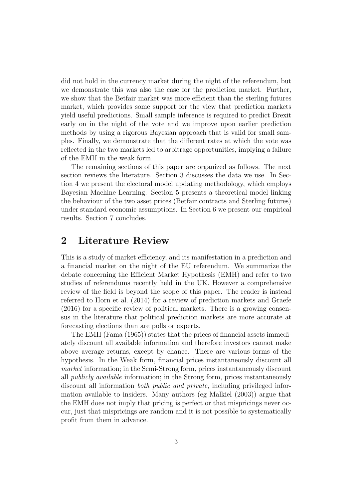did not hold in the currency market during the night of the referendum, but we demonstrate this was also the case for the prediction market. Further, we show that the Betfair market was more efficient than the sterling futures market, which provides some support for the view that prediction markets yield useful predictions. Small sample inference is required to predict Brexit early on in the night of the vote and we improve upon earlier prediction methods by using a rigorous Bayesian approach that is valid for small samples. Finally, we demonstrate that the different rates at which the vote was reflected in the two markets led to arbitrage opportunities, implying a failure of the EMH in the weak form.

The remaining sections of this paper are organized as follows. The next section reviews the literature. Section 3 discusses the data we use. In Section 4 we present the electoral model updating methodology, which employs Bayesian Machine Learning. Section 5 presents a theoretical model linking the behaviour of the two asset prices (Betfair contracts and Sterling futures) under standard economic assumptions. In Section 6 we present our empirical results. Section 7 concludes.

# 2 Literature Review

This is a study of market efficiency, and its manifestation in a prediction and a financial market on the night of the EU referendum. We summarize the debate concerning the Efficient Market Hypothesis (EMH) and refer to two studies of referendums recently held in the UK. However a comprehensive review of the field is beyond the scope of this paper. The reader is instead referred to Horn et al. (2014) for a review of prediction markets and Graefe (2016) for a specific review of political markets. There is a growing consensus in the literature that political prediction markets are more accurate at forecasting elections than are polls or experts.

The EMH (Fama (1965)) states that the prices of financial assets immediately discount all available information and therefore investors cannot make above average returns, except by chance. There are various forms of the hypothesis. In the Weak form, financial prices instantaneously discount all market information; in the Semi-Strong form, prices instantaneously discount all publicly available information; in the Strong form, prices instantaneously discount all information both public and private, including privileged information available to insiders. Many authors (eg Malkiel (2003)) argue that the EMH does not imply that pricing is perfect or that mispricings never occur, just that mispricings are random and it is not possible to systematically profit from them in advance.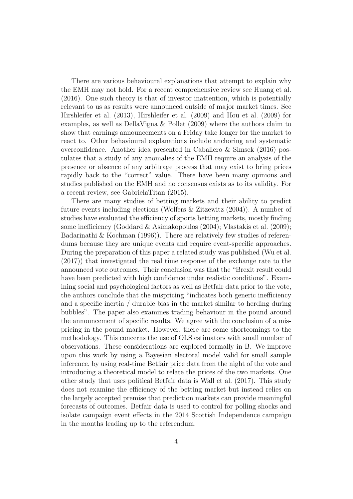There are various behavioural explanations that attempt to explain why the EMH may not hold. For a recent comprehensive review see Huang et al. (2016). One such theory is that of investor inattention, which is potentially relevant to us as results were announced outside of major market times. See Hirshleifer et al. (2013), Hirshleifer et al. (2009) and Hou et al. (2009) for examples, as well as DellaVigna & Pollet (2009) where the authors claim to show that earnings announcements on a Friday take longer for the market to react to. Other behavioural explanations include anchoring and systematic overconfidence. Another idea presented in Caballero & Simsek (2016) postulates that a study of any anomalies of the EMH require an analysis of the presence or absence of any arbitrage process that may exist to bring prices rapidly back to the "correct" value. There have been many opinions and studies published on the EMH and no consensus exists as to its validity. For a recent review, see GabrielaTitan (2015).

There are many studies of betting markets and their ability to predict future events including elections (Wolfers & Zitzewitz (2004)). A number of studies have evaluated the efficiency of sports betting markets, mostly finding some inefficiency (Goddard & Asimakopoulos (2004); Vlastakis et al. (2009); Badarinathi & Kochman (1996)). There are relatively few studies of referendums because they are unique events and require event-specific approaches. During the preparation of this paper a related study was published (Wu et al. (2017)) that investigated the real time response of the exchange rate to the announced vote outcomes. Their conclusion was that the "Brexit result could have been predicted with high confidence under realistic conditions". Examining social and psychological factors as well as Betfair data prior to the vote, the authors conclude that the mispricing "indicates both generic inefficiency and a specific inertia / durable bias in the market similar to herding during bubbles". The paper also examines trading behaviour in the pound around the announcement of specific results. We agree with the conclusion of a mispricing in the pound market. However, there are some shortcomings to the methodology. This concerns the use of OLS estimators with small number of observations. These considerations are explored formally in B. We improve upon this work by using a Bayesian electoral model valid for small sample inference, by using real-time Betfair price data from the night of the vote and introducing a theoretical model to relate the prices of the two markets. One other study that uses political Betfair data is Wall et al. (2017). This study does not examine the efficiency of the betting market but instead relies on the largely accepted premise that prediction markets can provide meaningful forecasts of outcomes. Betfair data is used to control for polling shocks and isolate campaign event effects in the 2014 Scottish Independence campaign in the months leading up to the referendum.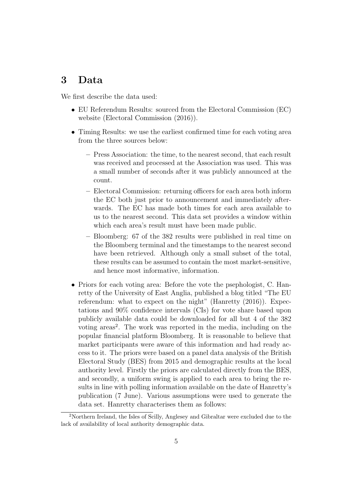# 3 Data

We first describe the data used:

- EU Referendum Results: sourced from the Electoral Commission (EC) website (Electoral Commission (2016)).
- Timing Results: we use the earliest confirmed time for each voting area from the three sources below:
	- Press Association: the time, to the nearest second, that each result was received and processed at the Association was used. This was a small number of seconds after it was publicly announced at the count.
	- Electoral Commission: returning officers for each area both inform the EC both just prior to announcement and immediately afterwards. The EC has made both times for each area available to us to the nearest second. This data set provides a window within which each area's result must have been made public.
	- Bloomberg: 67 of the 382 results were published in real time on the Bloomberg terminal and the timestamps to the nearest second have been retrieved. Although only a small subset of the total, these results can be assumed to contain the most market-sensitive, and hence most informative, information.
- Priors for each voting area: Before the vote the psephologist, C. Hanretty of the University of East Anglia, published a blog titled "The EU referendum: what to expect on the night" (Hanretty  $(2016)$ ). Expectations and 90% confidence intervals (CIs) for vote share based upon publicly available data could be downloaded for all but 4 of the 382 voting areas<sup>2</sup>. The work was reported in the media, including on the popular financial platform Bloomberg. It is reasonable to believe that market participants were aware of this information and had ready access to it. The priors were based on a panel data analysis of the British Electoral Study (BES) from 2015 and demographic results at the local authority level. Firstly the priors are calculated directly from the BES, and secondly, a uniform swing is applied to each area to bring the results in line with polling information available on the date of Hanretty's publication (7 June). Various assumptions were used to generate the data set. Hanretty characterises them as follows:

<sup>2</sup>Northern Ireland, the Isles of Scilly, Anglesey and Gibraltar were excluded due to the lack of availability of local authority demographic data.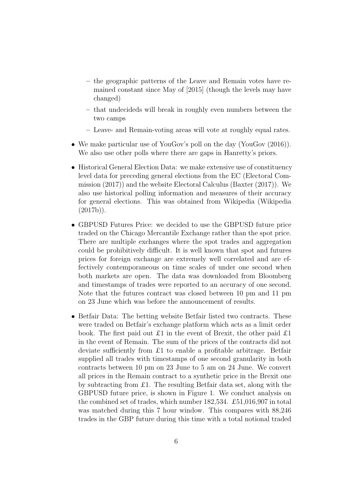- the geographic patterns of the Leave and Remain votes have remained constant since May of [2015] (though the levels may have changed)
- that undecideds will break in roughly even numbers between the two camps
- Leave- and Remain-voting areas will vote at roughly equal rates.
- We make particular use of YouGov's poll on the day (YouGov (2016)). We also use other polls where there are gaps in Hanretty's priors.
- Historical General Election Data: we make extensive use of constituency level data for preceding general elections from the EC (Electoral Commission (2017)) and the website Electoral Calculus (Baxter (2017)). We also use historical polling information and measures of their accuracy for general elections. This was obtained from Wikipedia (Wikipedia  $(2017b)$ ).
- GBPUSD Futures Price: we decided to use the GBPUSD future price traded on the Chicago Mercantile Exchange rather than the spot price. There are multiple exchanges where the spot trades and aggregation could be prohibitively difficult. It is well known that spot and futures prices for foreign exchange are extremely well correlated and are effectively contemporaneous on time scales of under one second when both markets are open. The data was downloaded from Bloomberg and timestamps of trades were reported to an accuracy of one second. Note that the futures contract was closed between 10 pm and 11 pm on 23 June which was before the announcement of results.
- Betfair Data: The betting website Betfair listed two contracts. These were traded on Betfair's exchange platform which acts as a limit order book. The first paid out £1 in the event of Brexit, the other paid £1 in the event of Remain. The sum of the prices of the contracts did not deviate sufficiently from £1 to enable a profitable arbitrage. Betfair supplied all trades with timestamps of one second granularity in both contracts between 10 pm on 23 June to 5 am on 24 June. We convert all prices in the Remain contract to a synthetic price in the Brexit one by subtracting from £1. The resulting Betfair data set, along with the GBPUSD future price, is shown in Figure 1. We conduct analysis on the combined set of trades, which number 182,534. £51,016,907 in total was matched during this 7 hour window. This compares with 88,246 trades in the GBP future during this time with a total notional traded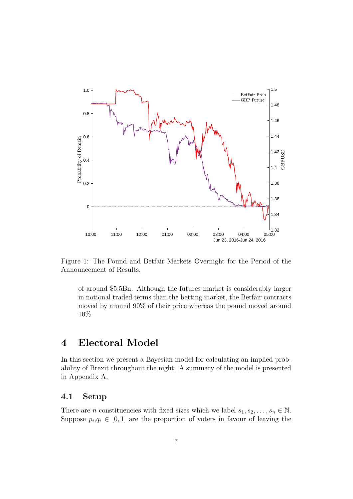

Figure 1: The Pound and Betfair Markets Overnight for the Period of the Announcement of Results.

of around \$5.5Bn. Although the futures market is considerably larger in notional traded terms than the betting market, the Betfair contracts moved by around 90% of their price whereas the pound moved around 10%.

# 4 Electoral Model

In this section we present a Bayesian model for calculating an implied probability of Brexit throughout the night. A summary of the model is presented in Appendix A.

### 4.1 Setup

There are *n* constituencies with fixed sizes which we label  $s_1, s_2, \ldots, s_n \in \mathbb{N}$ . Suppose  $p_i, q_i \in [0, 1]$  are the proportion of voters in favour of leaving the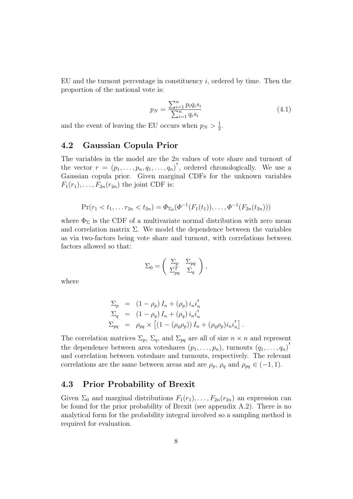EU and the turnout percentage in constituency  $i$ , ordered by time. Then the proportion of the national vote is:

$$
p_N = \frac{\sum_{i=1}^n p_i q_i s_i}{\sum_{i=1}^n q_i s_i}
$$
\n(4.1)

and the event of leaving the EU occurs when  $p_N > \frac{1}{2}$  $\frac{1}{2}$ .

### 4.2 Gaussian Copula Prior

The variables in the model are the 2n values of vote share and turnout of the vector  $r = (p_1, \ldots, p_n, q_1, \ldots, q_n)^\mathsf{T}$ , ordered chronologically. We use a Gaussian copula prior. Given marginal CDFs for the unknown variables  $F_1(r_1), \ldots, F_{2n}(r_{2n})$  the joint CDF is:

$$
Pr(r_1 < t_1, \ldots r_{2n} < t_{2n}) = \Phi_{\Sigma_0}(\Phi^{-1}(F_1(t_1)), \ldots, \Phi^{-1}(F_{2n}(t_{2n})))
$$

where  $\Phi_{\Sigma}$  is the CDF of a multivariate normal distribution with zero mean and correlation matrix  $\Sigma$ . We model the dependence between the variables as via two-factors being vote share and turnout, with correlations between factors allowed so that:

$$
\Sigma_0 = \left( \begin{array}{cc} \Sigma_p & \Sigma_{pq} \\ \Sigma_{pq}^T & \Sigma_q \end{array} \right),
$$

where

$$
\Sigma_p = (1 - \rho_p) I_n + (\rho_p) i_n i_n^{\mathsf{T}} \n\Sigma_q = (1 - \rho_q) I_n + (\rho_q) i_n i_n^{\mathsf{T}} \n\Sigma_{pq} = \rho_{pq} \times [(1 - (\rho_q \rho_p)) I_n + (\rho_q \rho_p) i_n i_n^{\mathsf{T}}].
$$

The correlation matrices  $\Sigma_p$ ,  $\Sigma_q$ , and  $\Sigma_{pq}$  are all of size  $n \times n$  and represent the dependence between area voteshares  $(p_1, \ldots, p_n)$ , turnouts  $(q_1, \ldots, q_n)$ <sup>†</sup> and correlation between voteshare and turnouts, respectively. The relevant correlations are the same between areas and are  $\rho_p$ ,  $\rho_q$  and  $\rho_{pq} \in (-1, 1)$ .

### 4.3 Prior Probability of Brexit

Given  $\Sigma_0$  and marginal distributions  $F_1(r_1), \ldots, F_{2n}(r_{2n})$  an expression can be found for the prior probability of Brexit (see appendix A.2). There is no analytical form for the probability integral involved so a sampling method is required for evaluation.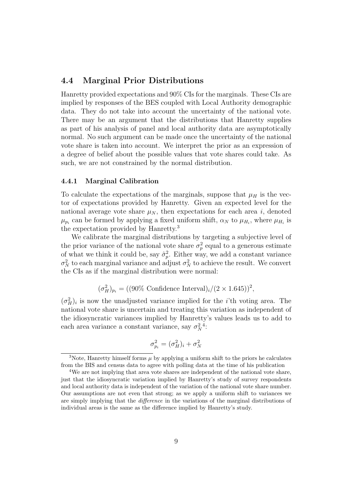## 4.4 Marginal Prior Distributions

Hanretty provided expectations and 90% CIs for the marginals. These CIs are implied by responses of the BES coupled with Local Authority demographic data. They do not take into account the uncertainty of the national vote. There may be an argument that the distributions that Hanretty supplies as part of his analysis of panel and local authority data are asymptotically normal. No such argument can be made once the uncertainty of the national vote share is taken into account. We interpret the prior as an expression of a degree of belief about the possible values that vote shares could take. As such, we are not constrained by the normal distribution.

#### 4.4.1 Marginal Calibration

To calculate the expectations of the marginals, suppose that  $\mu_H$  is the vector of expectations provided by Hanretty. Given an expected level for the national average vote share  $\mu_N$ , then expectations for each area i, denoted  $\mu_{p_i}$  can be formed by applying a fixed uniform shift,  $\alpha_N$  to  $\mu_{H_i}$ , where  $\mu_{H_i}$  is the expectation provided by Hanretty.<sup>3</sup>

We calibrate the marginal distributions by targeting a subjective level of the prior variance of the national vote share  $\sigma_p^2$  equal to a generous estimate of what we think it could be, say  $\hat{\sigma}_p^2$ . Either way, we add a constant variance  $\sigma_N^2$  to each marginal variance and adjust  $\sigma_N^2$  to achieve the result. We convert the CIs as if the marginal distribution were normal:

$$
(\sigma_H^2)_{p_i} = ((90\% \text{ Confidence Interval})_i / (2 \times 1.645))^2,
$$

 $(\sigma_H^2)_i$  is now the unadjusted variance implied for the *i*'th voting area. The national vote share is uncertain and treating this variation as independent of the idiosyncratic variances implied by Hanretty's values leads us to add to each area variance a constant variance, say  $\sigma_N^2$ <sup>4</sup>:

$$
\sigma_{p_i}^2 = (\sigma_H^2)_i + \sigma_N^2
$$

<sup>&</sup>lt;sup>3</sup>Note, Hanretty himself forms  $\mu$  by applying a uniform shift to the priors he calculates from the BIS and census data to agree with polling data at the time of his publication

<sup>4</sup>We are not implying that area vote shares are independent of the national vote share, just that the idiosyncratic variation implied by Hanretty's study of survey respondents and local authority data is independent of the variation of the national vote share number. Our assumptions are not even that strong; as we apply a uniform shift to variances we are simply implying that the difference in the variations of the marginal distributions of individual areas is the same as the difference implied by Hanretty's study.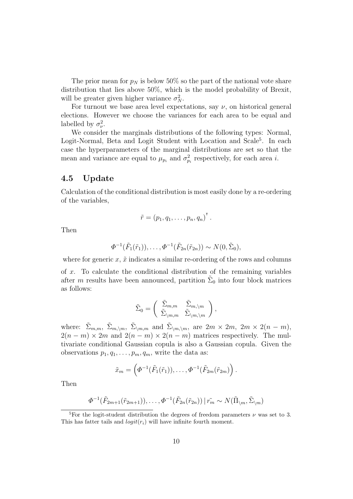The prior mean for  $p_N$  is below 50% so the part of the national vote share distribution that lies above 50%, which is the model probability of Brexit, will be greater given higher variance  $\sigma_N^2$ .

For turnout we base area level expectations, say  $\nu$ , on historical general elections. However we choose the variances for each area to be equal and labelled by  $\sigma_{\nu}^2$ .

We consider the marginals distributions of the following types: Normal, Logit-Normal, Beta and Logit Student with Location and Scale<sup>5</sup>. In each case the hyperparameters of the marginal distributions are set so that the mean and variance are equal to  $\mu_{p_i}$  and  $\sigma_{p_i}^2$  respectively, for each area *i*.

### 4.5 Update

Calculation of the conditional distribution is most easily done by a re-ordering of the variables,

$$
\tilde{r}=\left(p_1,q_1,\ldots,p_n,q_n\right)^{\mathsf{T}}.
$$

Then

$$
\Phi^{-1}(\tilde{F}_1(\tilde{r}_1)), \ldots, \Phi^{-1}(\tilde{F}_{2n}(\tilde{r}_{2n})) \sim N(0, \tilde{\Sigma}_0),
$$

where for generic  $x, \tilde{x}$  indicates a similar re-ordering of the rows and columns

of  $x$ . To calculate the conditional distribution of the remaining variables after m results have been announced, partition  $\tilde{\Sigma}_0$  into four block matrices as follows:

$$
\tilde{\Sigma}_0 = \left( \begin{array}{cc} \tilde{\Sigma}_{m,m} & \tilde{\Sigma}_{m,\backslash m} \\ \tilde{\Sigma}_{\backslash m,m} & \tilde{\Sigma}_{\backslash m,\backslash m} \end{array} \right),
$$

where:  $\tilde{\Sigma}_{m,m}$ ,  $\tilde{\Sigma}_{m,\setminus m}$ ,  $\tilde{\Sigma}_{\setminus m,m}$  and  $\tilde{\Sigma}_{\setminus m,\setminus m}$ , are  $2m \times 2m$ ,  $2m \times 2(n-m)$ ,  $2(n-m) \times 2m$  and  $2(n-m) \times 2(n-m)$  matrices respectively. The multivariate conditional Gaussian copula is also a Gaussian copula. Given the observations  $p_1, q_1, \ldots, p_m, q_m$ , write the data as:

$$
\tilde{x}_m = \left( \Phi^{-1}(\tilde{F}_1(\tilde{r}_1)), \ldots, \Phi^{-1}(\tilde{F}_{2m}(\tilde{r}_{2m})) \right).
$$

Then

$$
\Phi^{-1}(\tilde{F}_{2m+1}(\tilde{r}_{2m+1})),\ldots,\Phi^{-1}(\tilde{F}_{2n}(\tilde{r}_{2n}))\,|\,\tilde{r}_m \sim N(\tilde{\Pi}_{\setminus m},\tilde{\Sigma}_{\setminus m})
$$

<sup>&</sup>lt;sup>5</sup>For the logit-student distribution the degrees of freedom parameters  $\nu$  was set to 3. This has fatter tails and  $logit(r_i)$  will have infinite fourth moment.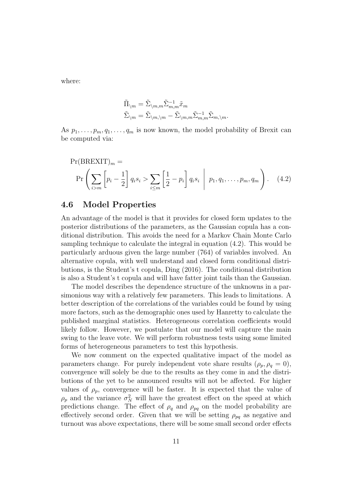where:

$$
\begin{aligned} &\tilde{\Pi}_{\backslash m}=\tilde{\Sigma}_{\backslash m,m}\tilde{\Sigma}_{m,m}^{-1}\tilde{x}_m\\ &\tilde{\Sigma}_{\backslash m}=\tilde{\Sigma}_{\backslash m,\backslash m}-\tilde{\Sigma}_{\backslash m,m}\tilde{\Sigma}_{m,m}^{-1}\tilde{\Sigma}_{m,\backslash m}. \end{aligned}
$$

As  $p_1, \ldots, p_m, q_1, \ldots, q_m$  is now known, the model probability of Brexit can be computed via:

$$
Pr(BREXIT)_m =
$$
  
\n
$$
Pr\left(\sum_{i>m} \left[ p_i - \frac{1}{2} \right] q_i s_i > \sum_{i \le m} \left[ \frac{1}{2} - p_i \right] q_i s_i \middle| p_1, q_1, \dots, p_m, q_m \right).
$$
 (4.2)

### 4.6 Model Properties

An advantage of the model is that it provides for closed form updates to the posterior distributions of the parameters, as the Gaussian copula has a conditional distribution. This avoids the need for a Markov Chain Monte Carlo sampling technique to calculate the integral in equation (4.2). This would be particularly arduous given the large number (764) of variables involved. An alternative copula, with well understand and closed form conditional distributions, is the Student's t copula, Ding (2016). The conditional distribution is also a Student's t copula and will have fatter joint tails than the Gaussian.

The model describes the dependence structure of the unknowns in a parsimonious way with a relatively few parameters. This leads to limitations. A better description of the correlations of the variables could be found by using more factors, such as the demographic ones used by Hanretty to calculate the published marginal statistics. Heterogeneous correlation coefficients would likely follow. However, we postulate that our model will capture the main swing to the leave vote. We will perform robustness tests using some limited forms of heterogeneous parameters to test this hypothesis.

We now comment on the expected qualitative impact of the model as parameters change. For purely independent vote share results  $(\rho_p, \rho_q = 0)$ , convergence will solely be due to the results as they come in and the distributions of the yet to be announced results will not be affected. For higher values of  $\rho_p$ , convergence will be faster. It is expected that the value of  $\rho_p$  and the variance  $\sigma_N^2$  will have the greatest effect on the speed at which predictions change. The effect of  $\rho_q$  and  $\rho_{pq}$  on the model probability are effectively second order. Given that we will be setting  $\rho_{pq}$  as negative and turnout was above expectations, there will be some small second order effects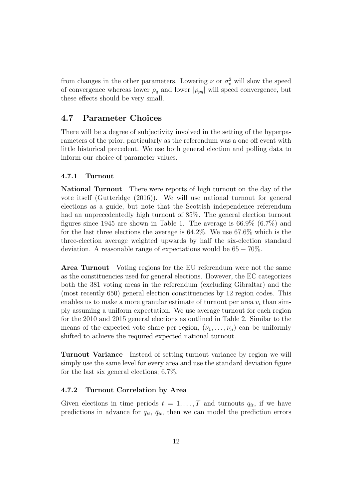from changes in the other parameters. Lowering  $\nu$  or  $\sigma_v^2$  will slow the speed of convergence whereas lower  $\rho_q$  and lower  $|\rho_{pq}|$  will speed convergence, but these effects should be very small.

## 4.7 Parameter Choices

There will be a degree of subjectivity involved in the setting of the hyperparameters of the prior, particularly as the referendum was a one off event with little historical precedent. We use both general election and polling data to inform our choice of parameter values.

#### 4.7.1 Turnout

National Turnout There were reports of high turnout on the day of the vote itself (Gutteridge (2016)). We will use national turnout for general elections as a guide, but note that the Scottish independence referendum had an unprecedentedly high turnout of 85%. The general election turnout figures since 1945 are shown in Table 1. The average is 66.9% (6.7%) and for the last three elections the average is 64.2%. We use 67.6% which is the three-election average weighted upwards by half the six-election standard deviation. A reasonable range of expectations would be  $65 - 70\%$ .

Area Turnout Voting regions for the EU referendum were not the same as the constituencies used for general elections. However, the EC categorizes both the 381 voting areas in the referendum (excluding Gibraltar) and the (most recently 650) general election constituencies by 12 region codes. This enables us to make a more granular estimate of turnout per area  $v_i$  than simply assuming a uniform expectation. We use average turnout for each region for the 2010 and 2015 general elections as outlined in Table 2. Similar to the means of the expected vote share per region,  $(\nu_1, \ldots, \nu_n)$  can be uniformly shifted to achieve the required expected national turnout.

Turnout Variance Instead of setting turnout variance by region we will simply use the same level for every area and use the standard deviation figure for the last six general elections; 6.7%.

#### 4.7.2 Turnout Correlation by Area

Given elections in time periods  $t = 1, \ldots, T$  and turnouts  $q_{it}$ , if we have predictions in advance for  $q_{it}$ ,  $\bar{q}_{it}$ , then we can model the prediction errors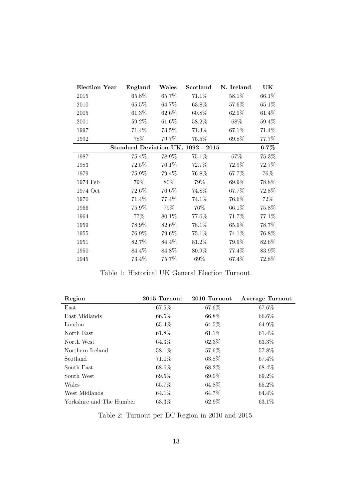| Election Year | England  | Wales  | Scotland                           | N. Ireland | UK      |
|---------------|----------|--------|------------------------------------|------------|---------|
| 2015          | 65.8%    | 65.7%  | 71.1%                              | 58.1%      | 66.1%   |
| 2010          | 65.5%    | 64.7%  | 63.8%                              | 57.6%      | 65.1%   |
| 2005          | 61.3%    | 62.6\% | 60.8%                              | 62.9%      | 61.4%   |
| 2001          | 59.2%    | 61.6%  | 58.2%                              | 68%        | 59.4%   |
| 1997          | 71.4%    | 73.5%  | 71.3%                              | 67.1%      | 71.4%   |
| 1992          | 78%      | 79.7%  | 75.5%                              | 69.8%      | 77.7%   |
|               |          |        | Standard Deviation UK, 1992 - 2015 |            | $6.7\%$ |
| 1987          | 75.4%    | 78.9%  | 75.1%                              | 67%        | 75.3%   |
| 1983          | 72.5%    | 76.1%  | 72.7%                              | 72.9%      | 72.7%   |
| 1979          | 75.9%    | 79.4%  | 76.8%                              | 67.7%      | 76\%    |
| 1974 Feb      | 79%      | 80%    | 79%                                | 69.9%      | 78.8%   |
| 1974 Oct      | 72.6%    | 76.6%  | 74.8%                              | 67.7%      | 72.8%   |
| 1970          | 71.4%    | 77.4%  | 74.1%                              | 76.6%      | $72\%$  |
| 1966          | $75.9\%$ | 79%    | 76%                                | 66.1%      | 75.8%   |
| 1964          | 77\%     | 80.1%  | 77.6%                              | 71.7%      | 77.1%   |
| 1959          | 78.9%    | 82.6%  | 78.1%                              | 65.9%      | 78.7%   |
| 1955          | $76.9\%$ | 79.6%  | $75.1\%$                           | 74.1%      | 76.8%   |
| 1951          | 82.7%    | 84.4%  | 81.2%                              | 79.9%      | 82.6%   |
| 1950          | 84.4%    | 84.8%  | 80.9%                              | 77.4%      | 83.9%   |
| 1945          | 73.4%    | 75.7%  | 69%                                | 67.4%      | 72.8%   |

Table 1: Historical UK General Election Turnout.

| Region                   | 2015 Turnout | 2010 Turnout | <b>Average Turnout</b> |
|--------------------------|--------------|--------------|------------------------|
| East                     | 67.5%        | 67.6%        | 67.6%                  |
| East Midlands            | 66.5%        | 66.8%        | 66.6%                  |
| London                   | 65.4\%       | 64.5%        | 64.9%                  |
| North East               | 61.8%        | 61.1%        | $61.4\%$               |
| North West               | $64.3\%$     | 62.3%        | $63.3\%$               |
| Northern Ireland         | 58.1\%       | 57.6%        | 57.8%                  |
| Scotland                 | 71.0%        | 63.8%        | 67.4\%                 |
| South East               | 68.6%        | 68.2\%       | 68.4\%                 |
| South West               | $69.5\%$     | $69.0\%$     | $69.2\%$               |
| Wales                    | 65.7%        | 64.8%        | 65.2\%                 |
| West Midlands            | 64.1\%       | 64.7%        | 64.4\%                 |
| Yorkshire and The Humber | 63.3%        | 62.9%        | 63.1\%                 |

Table 2: Turnout per EC Region in 2010 and 2015.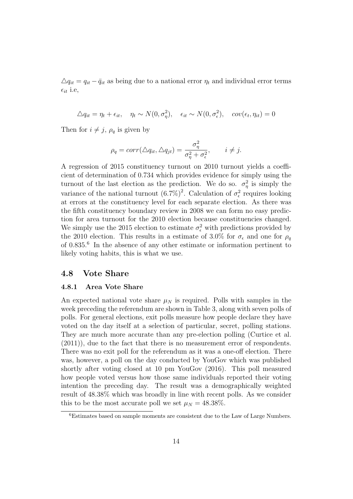$\Delta q_{it} = q_{it} - \bar{q}_{it}$  as being due to a national error  $\eta_t$  and individual error terms  $\epsilon_{it}$  i.e,

$$
\Delta q_{it} = \eta_t + \epsilon_{it}, \quad \eta_t \sim N(0, \sigma_\eta^2), \quad \epsilon_{it} \sim N(0, \sigma_\epsilon^2), \quad cov(\epsilon_t, \eta_{it}) = 0
$$

Then for  $i \neq j$ ,  $\rho_q$  is given by

$$
\rho_q = corr(\triangle q_{it}, \triangle q_{jt}) = \frac{\sigma_\eta^2}{\sigma_\eta^2 + \sigma_\epsilon^2}, \qquad i \neq j.
$$

A regression of 2015 constituency turnout on 2010 turnout yields a coefficient of determination of 0.734 which provides evidence for simply using the turnout of the last election as the prediction. We do so.  $\sigma_{\eta}^2$  is simply the variance of the national turnout  $(6.7\%)^2$ . Calculation of  $\sigma_{\epsilon}^2$  requires looking at errors at the constituency level for each separate election. As there was the fifth constituency boundary review in 2008 we can form no easy prediction for area turnout for the 2010 election because constituencies changed. We simply use the 2015 election to estimate  $\sigma_{\epsilon}^2$  with predictions provided by the 2010 election. This results in a estimate of 3.0% for  $\sigma_{\epsilon}$  and one for  $\rho_{q}$ of 0.835.<sup>6</sup> In the absence of any other estimate or information pertinent to likely voting habits, this is what we use.

#### 4.8 Vote Share

#### 4.8.1 Area Vote Share

An expected national vote share  $\mu_N$  is required. Polls with samples in the week preceding the referendum are shown in Table 3, along with seven polls of polls. For general elections, exit polls measure how people declare they have voted on the day itself at a selection of particular, secret, polling stations. They are much more accurate than any pre-election polling (Curtice et al. (2011)), due to the fact that there is no measurement error of respondents. There was no exit poll for the referendum as it was a one-off election. There was, however, a poll on the day conducted by YouGov which was published shortly after voting closed at 10 pm YouGov (2016). This poll measured how people voted versus how those same individuals reported their voting intention the preceding day. The result was a demographically weighted result of 48.38% which was broadly in line with recent polls. As we consider this to be the most accurate poll we set  $\mu_N = 48.38\%$ .

<sup>6</sup>Estimates based on sample moments are consistent due to the Law of Large Numbers.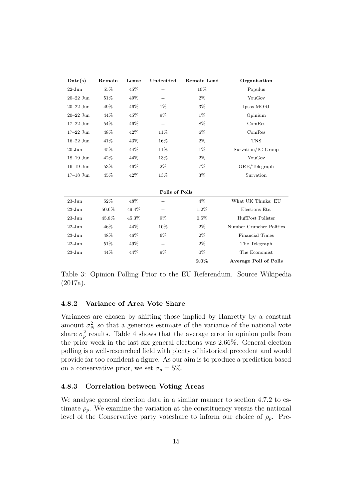| Date(s)       | Remain | Leave | Undecided      | Remain Lead | Organisation                 |
|---------------|--------|-------|----------------|-------------|------------------------------|
| $22 - Jun$    | 55%    | 45%   |                | 10%         | Populus                      |
| $20 - 22$ Jun | 51%    | 49%   | $-$            | $2\%$       | YouGov                       |
| $20 - 22$ Jun | 49%    | 46%   | $1\%$          | $3\%$       | Ipsos MORI                   |
| $20 - 22$ Jun | 44%    | 45%   | $9\%$          | $1\%$       | Opinium                      |
| $17-22$ Jun   | 54%    | 46%   | $-$            | 8%          | ComRes                       |
| $17-22$ Jun   | 48%    | 42%   | 11\%           | 6%          | ComRes                       |
| $16-22$ Jun   | 41%    | 43%   | 16%            | $2\%$       | <b>TNS</b>                   |
| $20 - Jun$    | 45%    | 44%   | 11\%           | $1\%$       | Survation/IG Group           |
| $18-19$ Jun   | 42%    | 44%   | 13%            | $2\%$       | YouGov                       |
| $16-19$ Jun   | 53%    | 46%   | $2\%$          | 7%          | ORB/Telegraph                |
| $17-18$ Jun   | 45%    | 42%   | 13%            | 3%          | Survation                    |
|               |        |       |                |             |                              |
|               |        |       | Polls of Polls |             |                              |
| $23 - Jun$    | 52%    | 48%   |                | $4\%$       | What UK Thinks: EU           |
| $23 - Jun$    | 50.6%  | 49.4% | --             | 1.2%        | Elections Etc.               |
| $23 - Jun$    | 45.8%  | 45.3% | $9\%$          | 0.5%        | HuffPost Pollster            |
| $22 - Jun$    | 46\%   | 44%   | 10%            | $2\%$       | Number Cruncher Politics     |
| $23 - Jun$    | 48%    | 46%   | $6\%$          | $2\%$       | Financial Times              |
| $22 - Jun$    | 51\%   | 49%   | --             | $2\%$       | The Telegraph                |
| $23 - Jun$    | 44%    | 44%   | $9\%$          | $0\%$       | The Economist                |
|               |        |       |                | $2.0\%$     | <b>Average Poll of Polls</b> |

Table 3: Opinion Polling Prior to the EU Referendum. Source Wikipedia (2017a).

#### 4.8.2 Variance of Area Vote Share

Variances are chosen by shifting those implied by Hanretty by a constant amount  $\sigma_N^2$  so that a generous estimate of the variance of the national vote share  $\sigma_p^2$  results. Table 4 shows that the average error in opinion polls from the prior week in the last six general elections was 2.66%. General election polling is a well-researched field with plenty of historical precedent and would provide far too confident a figure. As our aim is to produce a prediction based on a conservative prior, we set  $\sigma_p = 5\%$ .

#### 4.8.3 Correlation between Voting Areas

We analyse general election data in a similar manner to section 4.7.2 to estimate  $\rho_p$ . We examine the variation at the constituency versus the national level of the Conservative party voteshare to inform our choice of  $\rho_p$ . Pre-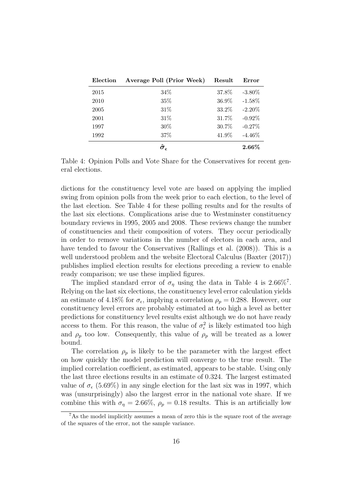| Election | Average Poll (Prior Week) | Result | Error     |
|----------|---------------------------|--------|-----------|
| 2015     | $34\%$                    | 37.8%  | $-3.80\%$ |
| 2010     | $35\%$                    | 36.9%  | $-1.58\%$ |
| 2005     | 31%                       | 33.2%  | $-2.20\%$ |
| 2001     | $31\%$                    | 31.7%  | $-0.92\%$ |
| 1997     | $30\%$                    | 30.7%  | $-0.27%$  |
| 1992     | 37%                       | 41.9%  | $-4.46\%$ |
|          | $\hat{\sigma}_{\epsilon}$ |        | $2.66\%$  |

Table 4: Opinion Polls and Vote Share for the Conservatives for recent general elections.

dictions for the constituency level vote are based on applying the implied swing from opinion polls from the week prior to each election, to the level of the last election. See Table 4 for these polling results and for the results of the last six elections. Complications arise due to Westminster constituency boundary reviews in 1995, 2005 and 2008. These reviews change the number of constituencies and their composition of voters. They occur periodically in order to remove variations in the number of electors in each area, and have tended to favour the Conservatives (Rallings et al. (2008)). This is a well understood problem and the website Electoral Calculus (Baxter (2017)) publishes implied election results for elections preceding a review to enable ready comparison; we use these implied figures.

The implied standard error of  $\sigma_{\eta}$  using the data in Table 4 is 2.66%<sup>7</sup>. Relying on the last six elections, the constituency level error calculation yields an estimate of 4.18% for  $\sigma_{\epsilon}$ , implying a correlation  $\rho_p = 0.288$ . However, our constituency level errors are probably estimated at too high a level as better predictions for constituency level results exist although we do not have ready access to them. For this reason, the value of  $\sigma_{\epsilon}^2$  is likely estimated too high and  $\rho_p$  too low. Consequently, this value of  $\rho_p$  will be treated as a lower bound.

The correlation  $\rho_p$  is likely to be the parameter with the largest effect on how quickly the model prediction will converge to the true result. The implied correlation coefficient, as estimated, appears to be stable. Using only the last three elections results in an estimate of 0.324. The largest estimated value of  $\sigma_{\epsilon}$  (5.69%) in any single election for the last six was in 1997, which was (unsurprisingly) also the largest error in the national vote share. If we combine this with  $\sigma_{\eta} = 2.66\%, \rho_{p} = 0.18$  results. This is an artificially low

<sup>7</sup>As the model implicitly assumes a mean of zero this is the square root of the average of the squares of the error, not the sample variance.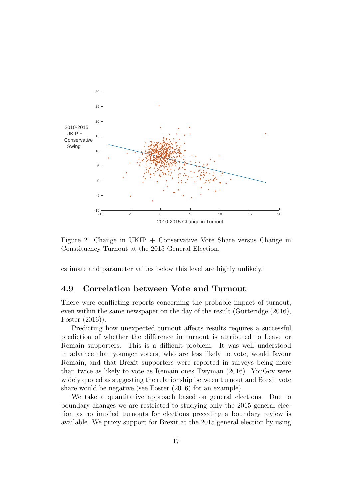

Figure 2: Change in UKIP + Conservative Vote Share versus Change in Constituency Turnout at the 2015 General Election.

estimate and parameter values below this level are highly unlikely.

## 4.9 Correlation between Vote and Turnout

There were conflicting reports concerning the probable impact of turnout, even within the same newspaper on the day of the result (Gutteridge (2016), Foster (2016)).

Predicting how unexpected turnout affects results requires a successful prediction of whether the difference in turnout is attributed to Leave or Remain supporters. This is a difficult problem. It was well understood in advance that younger voters, who are less likely to vote, would favour Remain, and that Brexit supporters were reported in surveys being more than twice as likely to vote as Remain ones Twyman (2016). YouGov were widely quoted as suggesting the relationship between turnout and Brexit vote share would be negative (see Foster (2016) for an example).

We take a quantitative approach based on general elections. Due to boundary changes we are restricted to studying only the 2015 general election as no implied turnouts for elections preceding a boundary review is available. We proxy support for Brexit at the 2015 general election by using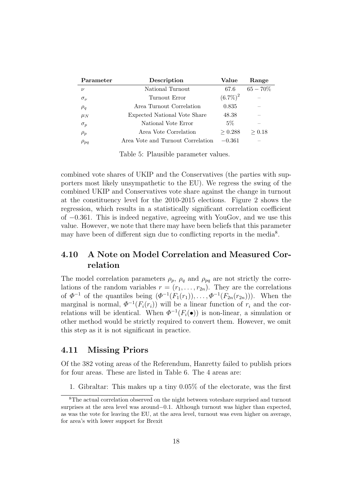| Parameter      | Description                       | Value       | Range                    |
|----------------|-----------------------------------|-------------|--------------------------|
| $\nu$          | National Turnout                  | 67.6        | $65 - 70\%$              |
| $\sigma_{\nu}$ | Turnout Error                     | $(6.7\%)^2$ |                          |
| $\rho_q$       | Area Turnout Correlation          | 0.835       |                          |
| $\mu_N$        | Expected National Vote Share      | 48.38       |                          |
| $\sigma_p$     | National Vote Error               | 5%          | $\overline{\phantom{a}}$ |
| $\rho_p$       | Area Vote Correlation             | > 0.288     | > 0.18                   |
| $\rho_{pq}$    | Area Vote and Turnout Correlation | $-0.361$    |                          |

Table 5: Plausible parameter values.

combined vote shares of UKIP and the Conservatives (the parties with supporters most likely unsympathetic to the EU). We regress the swing of the combined UKIP and Conservatives vote share against the change in turnout at the constituency level for the 2010-2015 elections. Figure 2 shows the regression, which results in a statistically significant correlation coefficient of −0.361. This is indeed negative, agreeing with YouGov, and we use this value. However, we note that there may have been beliefs that this parameter may have been of different sign due to conflicting reports in the media<sup>8</sup>.

# 4.10 A Note on Model Correlation and Measured Correlation

The model correlation parameters  $\rho_p$ ,  $\rho_q$  and  $\rho_{pq}$  are not strictly the correlations of the random variables  $r = (r_1, \ldots, r_{2n})$ . They are the correlations of  $\Phi^{-1}$  of the quantiles being  $(\Phi^{-1}(F_1(r_1)), \ldots, \Phi^{-1}(F_{2n}(r_{2n})))$ . When the marginal is normal,  $\Phi^{-1}(F_i(r_i))$  will be a linear function of  $r_i$  and the correlations will be identical. When  $\Phi^{-1}(F_i(\bullet))$  is non-linear, a simulation or other method would be strictly required to convert them. However, we omit this step as it is not significant in practice.

### 4.11 Missing Priors

Of the 382 voting areas of the Referendum, Hanretty failed to publish priors for four areas. These are listed in Table 6. The 4 areas are:

1. Gibraltar: This makes up a tiny 0.05% of the electorate, was the first

<sup>8</sup>The actual correlation observed on the night between voteshare surprised and turnout surprises at the area level was around−0.1. Although turnout was higher than expected, as was the vote for leaving the EU, at the area level, turnout was even higher on average, for area's with lower support for Brexit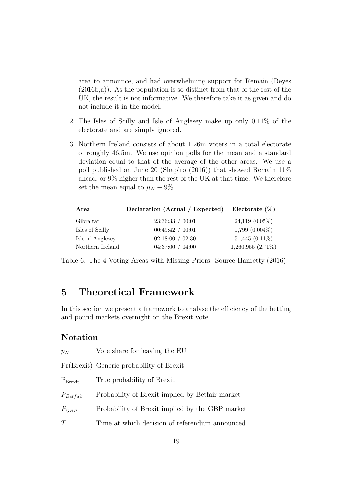area to announce, and had overwhelming support for Remain (Reyes  $(2016b,a)$ . As the population is so distinct from that of the rest of the UK, the result is not informative. We therefore take it as given and do not include it in the model.

- 2. The Isles of Scilly and Isle of Anglesey make up only 0.11% of the electorate and are simply ignored.
- 3. Northern Ireland consists of about 1.26m voters in a total electorate of roughly 46.5m. We use opinion polls for the mean and a standard deviation equal to that of the average of the other areas. We use a poll published on June 20 (Shapiro (2016)) that showed Remain 11% ahead, or 9% higher than the rest of the UK at that time. We therefore set the mean equal to  $\mu_N - 9\%$ .

| Area             | Declaration (Actual / Expected) | Electorate $(\%)$      |
|------------------|---------------------------------|------------------------|
| Gibraltar        | 23:36:33 / 00:01                | $24,119$ $(0.05\%)$    |
| Isles of Scilly  | 00:49:42 / 00:01                | $1,799$ $(0.004\%)$    |
| Isle of Anglesey | 02:18:00 / 02:30                | $51,445$ $(0.11\%)$    |
| Northern Ireland | 04:37:00 / 04:00                | $1,260,955$ $(2.71\%)$ |

Table 6: The 4 Voting Areas with Missing Priors. Source Hanretty (2016).

# 5 Theoretical Framework

In this section we present a framework to analyse the efficiency of the betting and pound markets overnight on the Brexit vote.

## Notation

| $p_N$                        | Vote share for leaving the EU                   |
|------------------------------|-------------------------------------------------|
|                              | Pr(Brexit) Generic probability of Brexit        |
| $\mathbb{P}_{\text{Brexit}}$ | True probability of Brexit                      |
| $P_{Betfair}$                | Probability of Brexit implied by Betfair market |
| $P_{GBP}$                    | Probability of Brexit implied by the GBP market |
| T                            | Time at which decision of referendum announced  |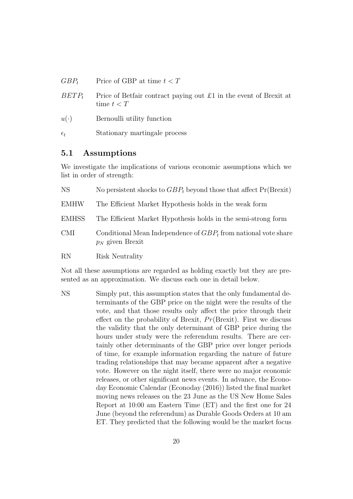- $GBP_t$  Price of GBP at time  $t < T$
- $BETP_t$  Price of Betfair contract paying out £1 in the event of Brexit at time  $t < T$
- $u(\cdot)$  Bernoulli utility function
- $\epsilon_t$  Stationary martingale process

### 5.1 Assumptions

We investigate the implications of various economic assumptions which we list in order of strength:

| <b>NS</b>    | No persistent shocks to $GBP_t$ beyond those that affect $Pr(B$ rexit)                  |
|--------------|-----------------------------------------------------------------------------------------|
| <b>EMHW</b>  | The Efficient Market Hypothesis holds in the weak form                                  |
| <b>EMHSS</b> | The Efficient Market Hypothesis holds in the semi-strong form                           |
| <b>CMI</b>   | Conditional Mean Independence of $GBP_t$ from national vote share<br>$p_N$ given Brexit |
| <b>RN</b>    | Risk Neutrality                                                                         |

Not all these assumptions are regarded as holding exactly but they are presented as an approximation. We discuss each one in detail below.

NS Simply put, this assumption states that the only fundamental determinants of the GBP price on the night were the results of the vote, and that those results only affect the price through their effect on the probability of Brexit,  $Pr(B$ rexit). First we discuss the validity that the only determinant of GBP price during the hours under study were the referendum results. There are certainly other determinants of the GBP price over longer periods of time, for example information regarding the nature of future trading relationships that may became apparent after a negative vote. However on the night itself, there were no major economic releases, or other significant news events. In advance, the Econoday Economic Calendar (Econoday (2016)) listed the final market moving news releases on the 23 June as the US New Home Sales Report at 10:00 am Eastern Time (ET) and the first one for 24 June (beyond the referendum) as Durable Goods Orders at 10 am ET. They predicted that the following would be the market focus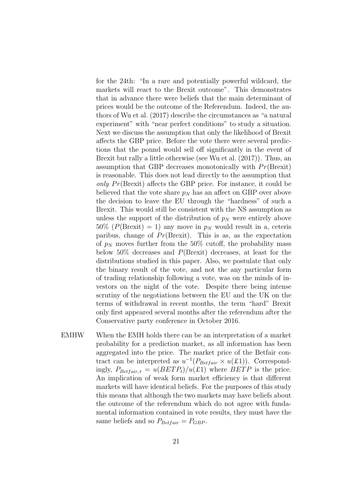for the 24th: "In a rare and potentially powerful wildcard, the markets will react to the Brexit outcome". This demonstrates that in advance there were beliefs that the main determinant of prices would be the outcome of the Referendum. Indeed, the authors of Wu et al. (2017) describe the circumstances as "a natural experiment" with "near perfect conditions" to study a situation. Next we discuss the assumption that only the likelihood of Brexit affects the GBP price. Before the vote there were several predictions that the pound would sell off significantly in the event of Brexit but rally a little otherwise (see Wu et al. (2017)). Thus, an assumption that GBP decreases monotonically with  $Pr(B$ rexit) is reasonable. This does not lead directly to the assumption that only  $Pr(B$ rexit) affects the GBP price. For instance, it could be believed that the vote share  $p_N$  has an affect on GBP over above the decision to leave the EU through the "hardness" of such a Brexit. This would still be consistent with the NS assumption as unless the support of the distribution of  $p<sub>N</sub>$  were entirely above  $50\%$  (P(Brexit) = 1) any move in  $p<sub>N</sub>$  would result in a, ceteris paribus, change of  $Pr(B$ rexit). This is as, as the expectation of  $p_N$  moves further from the 50% cutoff, the probability mass below 50% decreases and P(Brexit) decreases, at least for the distributions studied in this paper. Also, we postulate that only the binary result of the vote, and not the any particular form of trading relationship following a vote, was on the minds of investors on the night of the vote. Despite there being intense scrutiny of the negotiations between the EU and the UK on the terms of withdrawal in recent months, the term "hard" Brexit only first appeared several months after the referendum after the Conservative party conference in October 2016.

EMHW When the EMH holds there can be an interpretation of a market probability for a prediction market, as all information has been aggregated into the price. The market price of the Betfair contract can be interpreted as  $u^{-1}(P_{Betfair} \times u(\pounds 1))$ . Correspondingly,  $P_{Betfair, t} = u(BETP_t)/u(\pounds1)$  where  $BETP$  is the price. An implication of weak form market efficiency is that different markets will have identical beliefs. For the purposes of this study this means that although the two markets may have beliefs about the outcome of the referendum which do not agree with fundamental information contained in vote results, they must have the same beliefs and so  $P_{Betfair} = P_{GBP}$ .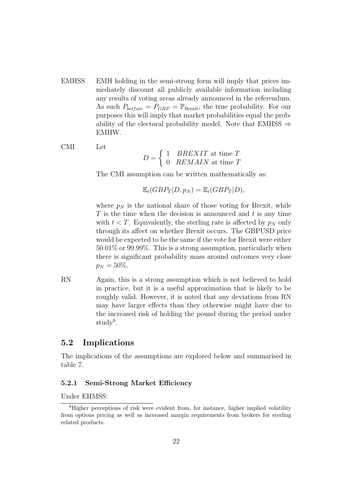- EMHSS EMH holding in the semi-strong form will imply that prices immediately discount all publicly available information including any results of voting areas already announced in the referendum. As such  $P_{\text{betfair}} = P_{GBP} = \mathbb{P}_{\text{Brexit}}$ , the true probability. For our purposes this will imply that market probabilities equal the probability of the electoral probability model. Note that EMHSS  $\Rightarrow$ EMHW.
- CMI Let

$$
D = \begin{cases} 1 & BREXIT \text{ at time } T \\ 0 & REMAIN \text{ at time } T \end{cases}
$$

The CMI assumption can be written mathematically as:

 $\mathbb{E}_{t}(GBP_{T} | D, p_{N}) = \mathbb{E}_{t}(GBP_{T} | D),$ 

where  $p_N$  is the national share of those voting for Brexit, while  $T$  is the time when the decision is announced and  $t$  is any time with  $t < T$ . Equivalently, the sterling rate is affected by  $p<sub>N</sub>$  only through its affect on whether Brexit occurs. The GBPUSD price would be expected to be the same if the vote for Brexit were either 50.01% or 99.99%. This is a strong assumption, particularly when there is significant probability mass around outcomes very close  $p_N = 50\%.$ 

RN Again, this is a strong assumption which is not believed to hold in practice, but it is a useful approximation that is likely to be roughly valid. However, it is noted that any deviations from RN may have larger effects than they otherwise might have due to the increased risk of holding the pound during the period under study<sup>9</sup>.

### 5.2 Implications

The implications of the assumptions are explored below and summarised in table 7.

#### 5.2.1 Semi-Strong Market Efficiency

Under EHMSS:

<sup>&</sup>lt;sup>9</sup>Higher perceptions of risk were evident from, for instance, higher implied volatility from options pricing as well as increased margin requirements from brokers for sterling related products.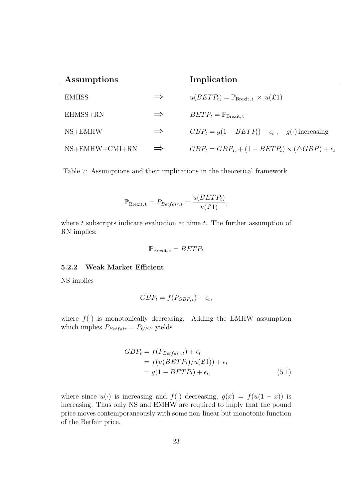| Assumptions      |               | Implication                                                        |
|------------------|---------------|--------------------------------------------------------------------|
| <b>EMHSS</b>     | $\Rightarrow$ | $u(BETP_t) = \mathbb{P}_{\text{Brexit}, t} \times u(\pounds1)$     |
| $EHMSS+RN$       | $\Rightarrow$ | $BETP_t = \mathbb{P}_{\text{Brestt. t}}$                           |
| $NS+EMHW$        | $\Rightarrow$ | $GBP_t = g(1 - BETP_t) + \epsilon_t$ , $g(\cdot)$ increasing       |
| $NS+EMHW+CMI+RN$ | $\Rightarrow$ | $GBP_t = GBP_L + (1 - BETP_t) \times (\triangle GBP) + \epsilon_t$ |

Table 7: Assumptions and their implications in the theoretical framework.

$$
\mathbb{P}_{\text{Brexit}, t} = P_{\text{Betfair}, t} = \frac{u(BETP_t)}{u(\pounds 1)},
$$

where  $t$  subscripts indicate evaluation at time  $t$ . The further assumption of RN implies:

$$
\mathbb{P}_{\text{Brexit},\,t} = BETP_t
$$

#### 5.2.2 Weak Market Efficient

NS implies

$$
GBP_t = f(P_{GBP,t}) + \epsilon_t,
$$

where  $f(\cdot)$  is monotonically decreasing. Adding the EMHW assumption which implies  $P_{\text{Betfair}} = P_{\text{GBP}}$  yields

$$
GBP_{t} = f(P_{Betfair, t}) + \epsilon_{t}
$$
  
=  $f(u(BETP_{t})/u(\pounds1)) + \epsilon_{t}$   
=  $g(1 - BETP_{t}) + \epsilon_{t}$ , (5.1)

where since  $u(\cdot)$  is increasing and  $f(\cdot)$  decreasing,  $g(x) = f(u(1-x))$  is increasing. Thus only NS and EMHW are required to imply that the pound price moves contemporaneously with some non-linear but monotonic function of the Betfair price.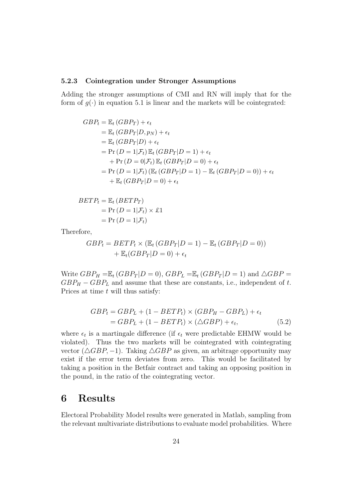#### 5.2.3 Cointegration under Stronger Assumptions

Adding the stronger assumptions of CMI and RN will imply that for the form of  $q(\cdot)$  in equation 5.1 is linear and the markets will be cointegrated:

$$
GBP_t = \mathbb{E}_t (GBP_T) + \epsilon_t
$$
  
=  $\mathbb{E}_t (GBP_T|D, p_N) + \epsilon_t$   
=  $\mathbb{E}_t (GBP_T|D) + \epsilon_t$   
=  $\Pr(D = 1|\mathcal{F}_t) \mathbb{E}_t (GBP_T|D = 1) + \epsilon_t$   
+  $\Pr(D = 0|\mathcal{F}_t) \mathbb{E}_t (GBP_T|D = 0) + \epsilon_t$   
=  $\Pr(D = 1|\mathcal{F}_t) (\mathbb{E}_t (GBP_T|D = 1) - \mathbb{E}_t (GBP_T|D = 0)) + \epsilon_t$   
+  $\mathbb{E}_t (GBP_T|D = 0) + \epsilon_t$ 

$$
BETP_t = \mathbb{E}_t (BETP_T)
$$
  
= Pr (D = 1|F\_t) × £1  
= Pr (D = 1|F\_t)

Therefore,

$$
GBP_t = BETP_t \times (\mathbb{E}_t (GBP_T|D=1) - \mathbb{E}_t (GBP_T|D=0))
$$

$$
+ \mathbb{E}_t (GBP_T|D=0) + \epsilon_t
$$

Write  $GBP_H = \mathbb{E}_t (GBP_T | D = 0)$ ,  $GBP_L = \mathbb{E}_t (GBP_T | D = 1)$  and  $\triangle GBP =$  $GBP_H - GBP_L$  and assume that these are constants, i.e., independent of t. Prices at time  $t$  will thus satisfy:

$$
GBP_t = GBP_L + (1 - BETP_t) \times (GBP_H - GBP_L) + \epsilon_t
$$
  
= 
$$
GBP_L + (1 - BETP_t) \times (\triangle GBP) + \epsilon_t,
$$
 (5.2)

where  $\epsilon_t$  is a martingale difference (if  $\epsilon_t$  were predictable EHMW would be violated). Thus the two markets will be cointegrated with cointegrating vector  $(\triangle GBP, -1)$ . Taking  $\triangle GBP$  as given, an arbitrage opportunity may exist if the error term deviates from zero. This would be facilitated by taking a position in the Betfair contract and taking an opposing position in the pound, in the ratio of the cointegrating vector.

# 6 Results

Electoral Probability Model results were generated in Matlab, sampling from the relevant multivariate distributions to evaluate model probabilities. Where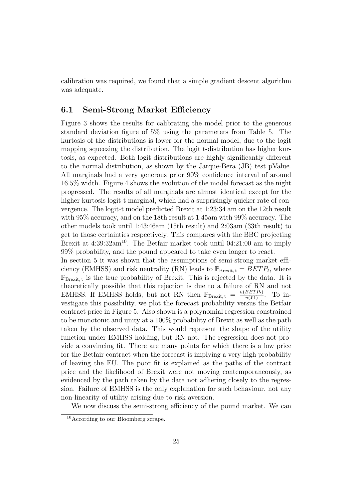calibration was required, we found that a simple gradient descent algorithm was adequate.

### 6.1 Semi-Strong Market Efficiency

Figure 3 shows the results for calibrating the model prior to the generous standard deviation figure of 5% using the parameters from Table 5. The kurtosis of the distributions is lower for the normal model, due to the logit mapping squeezing the distribution. The logit t-distribution has higher kurtosis, as expected. Both logit distributions are highly significantly different to the normal distribution, as shown by the Jarque-Bera (JB) test pValue. All marginals had a very generous prior 90% confidence interval of around 16.5% width. Figure 4 shows the evolution of the model forecast as the night progressed. The results of all marginals are almost identical except for the higher kurtosis logit-t marginal, which had a surprisingly quicker rate of convergence. The logit-t model predicted Brexit at 1:23:34 am on the 12th result with 95% accuracy, and on the 18th result at 1:45am with 99% accuracy. The other models took until 1:43:46am (15th result) and 2:03am (33th result) to get to those certainties respectively. This compares with the BBC projecting Brexit at  $4:39:32$ am<sup>10</sup>. The Betfair market took until  $04:21:00$  am to imply 99% probability, and the pound appeared to take even longer to react.

In section 5 it was shown that the assumptions of semi-strong market efficiency (EMHSS) and risk neutrality (RN) leads to  $\mathbb{P}_{Brexit, t} = BETP_t$ , where  $\mathbb{P}_{\text{Brexit}, t}$  is the true probability of Brexit. This is rejected by the data. It is theoretically possible that this rejection is due to a failure of RN and not EMHSS. If EMHSS holds, but not RN then  $\mathbb{P}_{\text{Brexit},t} = \frac{u(BETP_t)}{u(t)}$ . To investigate this possibility, we plot the forecast probability versus the Betfair contract price in Figure 5. Also shown is a polynomial regression constrained to be monotonic and unity at a 100% probability of Brexit as well as the path taken by the observed data. This would represent the shape of the utility function under EMHSS holding, but RN not. The regression does not provide a convincing fit. There are many points for which there is a low price for the Betfair contract when the forecast is implying a very high probability of leaving the EU. The poor fit is explained as the paths of the contract price and the likelihood of Brexit were not moving contemporaneously, as evidenced by the path taken by the data not adhering closely to the regression. Failure of EMHSS is the only explanation for such behaviour, not any non-linearity of utility arising due to risk aversion.

We now discuss the semi-strong efficiency of the pound market. We can

<sup>&</sup>lt;sup>10</sup>According to our Bloomberg scrape.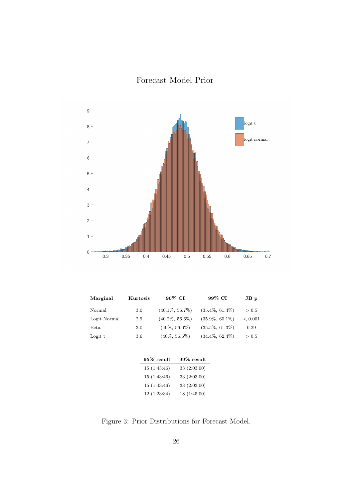Forecast Model Prior



| Marginal     | Kurtosis | 90% CI             | 99% CI             | $JB$ $p$ |  |
|--------------|----------|--------------------|--------------------|----------|--|
| Normal       | 3.0      | $(40.1\%, 56.7\%)$ | $(35.4\%, 61.4\%)$ | > 0.5    |  |
| Logit Normal | 2.9      | $(40.2\%, 56.6\%)$ | $(35.9\%, 60.1\%)$ | < 0.001  |  |
| Beta         | 3.0      | $(40\%, 56.6\%)$   | $(35.5\%, 61.3\%)$ | 0.29     |  |
| Logit t      | 3.6      | $(40\%, 56.6\%)$   | $(34.4\%, 62.4\%)$ | > 0.5    |  |
|              |          |                    |                    |          |  |

| $99\%$ result |
|---------------|
| 33 (2:03:00)  |
| 33 (2:03:00)  |
| 33 (2:03:00)  |
| 18(1:45:00)   |
|               |

Figure 3: Prior Distributions for Forecast Model.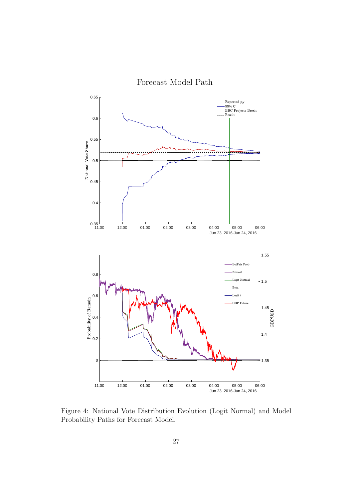

Figure 4: National Vote Distribution Evolution (Logit Normal) and Model Probability Paths for Forecast Model.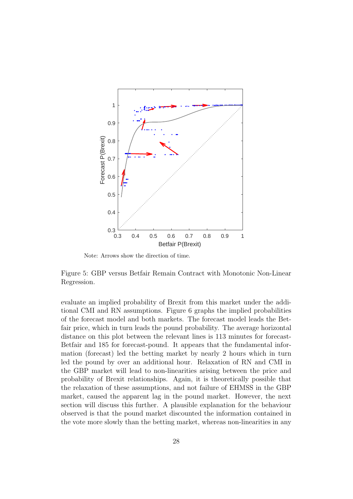

Note: Arrows show the direction of time.

Figure 5: GBP versus Betfair Remain Contract with Monotonic Non-Linear Regression.

evaluate an implied probability of Brexit from this market under the additional CMI and RN assumptions. Figure 6 graphs the implied probabilities of the forecast model and both markets. The forecast model leads the Betfair price, which in turn leads the pound probability. The average horizontal distance on this plot between the relevant lines is 113 minutes for forecast-Betfair and 185 for forecast-pound. It appears that the fundamental information (forecast) led the betting market by nearly 2 hours which in turn led the pound by over an additional hour. Relaxation of RN and CMI in the GBP market will lead to non-linearities arising between the price and probability of Brexit relationships. Again, it is theoretically possible that the relaxation of these assumptions, and not failure of EHMSS in the GBP market, caused the apparent lag in the pound market. However, the next section will discuss this further. A plausible explanation for the behaviour observed is that the pound market discounted the information contained in the vote more slowly than the betting market, whereas non-linearities in any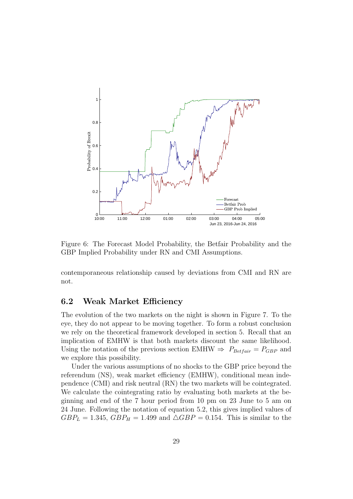

Figure 6: The Forecast Model Probability, the Betfair Probability and the GBP Implied Probability under RN and CMI Assumptions.

contemporaneous relationship caused by deviations from CMI and RN are not.

## 6.2 Weak Market Efficiency

The evolution of the two markets on the night is shown in Figure 7. To the eye, they do not appear to be moving together. To form a robust conclusion we rely on the theoretical framework developed in section 5. Recall that an implication of EMHW is that both markets discount the same likelihood. Using the notation of the previous section EMHW  $\Rightarrow$   $P_{Betfair} = P_{GBP}$  and we explore this possibility.

Under the various assumptions of no shocks to the GBP price beyond the referendum (NS), weak market efficiency (EMHW), conditional mean independence (CMI) and risk neutral (RN) the two markets will be cointegrated. We calculate the cointegrating ratio by evaluating both markets at the beginning and end of the 7 hour period from 10 pm on 23 June to 5 am on 24 June. Following the notation of equation 5.2, this gives implied values of  $GBP<sub>L</sub> = 1.345,  $GBP<sub>H</sub> = 1.499$  and  $\triangle GBP = 0.154$ . This is similar to the$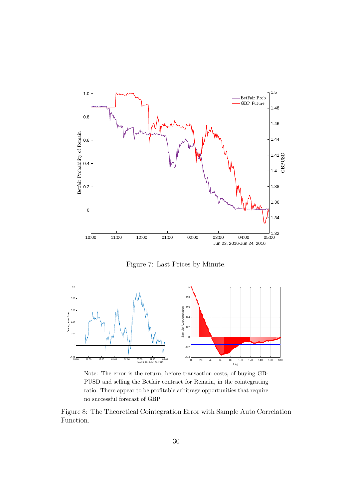

Figure 7: Last Prices by Minute.



Note: The error is the return, before transaction costs, of buying GB-PUSD and selling the Betfair contract for Remain, in the cointegrating ratio. There appear to be profitable arbitrage opportunities that require no successful forecast of GBP

Figure 8: The Theoretical Cointegration Error with Sample Auto Correlation Function.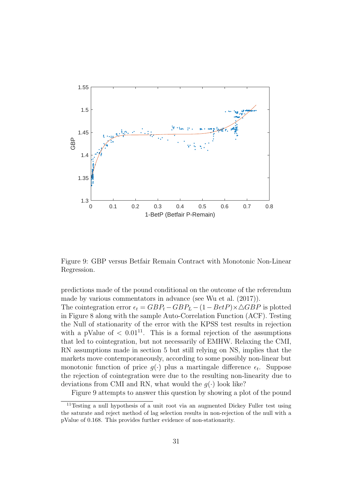

Figure 9: GBP versus Betfair Remain Contract with Monotonic Non-Linear Regression.

predictions made of the pound conditional on the outcome of the referendum made by various commentators in advance (see Wu et al. (2017)).

The cointegration error  $\epsilon_t = GBP_t - GBP_L - (1 - BetP) \times \triangle GBP$  is plotted in Figure 8 along with the sample Auto-Correlation Function (ACF). Testing the Null of stationarity of the error with the KPSS test results in rejection with a pValue of  $\langle 0.01^{11} \rangle$ . This is a formal rejection of the assumptions that led to cointegration, but not necessarily of EMHW. Relaxing the CMI, RN assumptions made in section 5 but still relying on NS, implies that the markets move contemporaneously, according to some possibly non-linear but monotonic function of price  $g(\cdot)$  plus a martingale difference  $\epsilon_t$ . Suppose the rejection of cointegration were due to the resulting non-linearity due to deviations from CMI and RN, what would the  $g(\cdot)$  look like?

Figure 9 attempts to answer this question by showing a plot of the pound

<sup>11</sup>Testing a null hypothesis of a unit root via an augmented Dickey Fuller test using the saturate and reject method of lag selection results in non-rejection of the null with a pValue of 0.168. This provides further evidence of non-stationarity.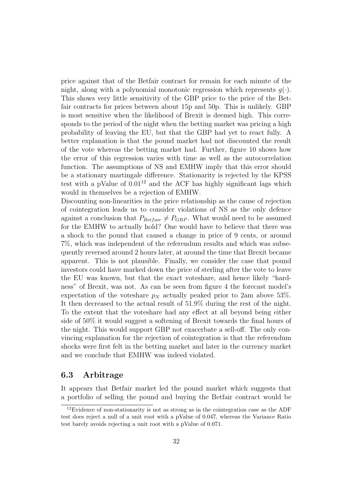price against that of the Betfair contract for remain for each minute of the night, along with a polynomial monotonic regression which represents  $q(.)$ . This shows very little sensitivity of the GBP price to the price of the Betfair contracts for prices between about 15p and 50p. This is unlikely. GBP is most sensitive when the likelihood of Brexit is deemed high. This corresponds to the period of the night when the betting market was pricing a high probability of leaving the EU, but that the GBP had yet to react fully. A better explanation is that the pound market had not discounted the result of the vote whereas the betting market had. Further, figure 10 shows how the error of this regression varies with time as well as the autocorrelation function. The assumptions of NS and EMHW imply that this error should be a stationary martingale difference. Stationarity is rejected by the KPSS test with a pValue of  $0.01^{12}$  and the ACF has highly significant lags which would in themselves be a rejection of EMHW.

Discounting non-linearities in the price relationship as the cause of rejection of cointegration leads us to consider violations of NS as the only defence against a conclusion that  $P_{Betfair} \neq P_{GBP}$ . What would need to be assumed for the EMHW to actually hold? One would have to believe that there was a shock to the pound that caused a change in price of 9 cents, or around 7%, which was independent of the referendum results and which was subsequently reversed around 2 hours later, at around the time that Brexit became apparent. This is not plausible. Finally, we consider the case that pound investors could have marked down the price of sterling after the vote to leave the EU was known, but that the exact voteshare, and hence likely "hardness" of Brexit, was not. As can be seen from figure 4 the forecast model's expectation of the voteshare  $p<sub>N</sub>$  actually peaked prior to 2am above 53%. It then decreased to the actual result of 51.9% during the rest of the night. To the extent that the voteshare had any effect at all beyond being either side of 50% it would suggest a softening of Brexit towards the final hours of the night. This would support GBP not exacerbate a sell-off. The only convincing explanation for the rejection of cointegration is that the referendum shocks were first felt in the betting market and later in the currency market and we conclude that EMHW was indeed violated.

#### 6.3 Arbitrage

It appears that Betfair market led the pound market which suggests that a portfolio of selling the pound and buying the Betfair contract would be

<sup>&</sup>lt;sup>12</sup>Evidence of non-stationarity is not as strong as in the cointegration case as the ADF test does reject a null of a unit root with a pValue of 0.047, whereas the Variance Ratio test barely avoids rejecting a unit root with a pValue of 0.071.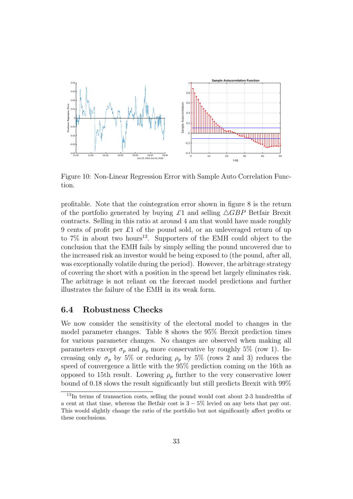

Figure 10: Non-Linear Regression Error with Sample Auto Correlation Function.

profitable. Note that the cointegration error shown in figure 8 is the return of the portfolio generated by buying  $\pounds 1$  and selling  $\triangle GBP$  Betfair Brexit contracts. Selling in this ratio at around 4 am that would have made roughly 9 cents of profit per £1 of the pound sold, or an unleveraged return of up to  $7\%$  in about two hours<sup>13</sup>. Supporters of the EMH could object to the conclusion that the EMH fails by simply selling the pound uncovered due to the increased risk an investor would be being exposed to (the pound, after all, was exceptionally volatile during the period). However, the arbitrage strategy of covering the short with a position in the spread bet largely eliminates risk. The arbitrage is not reliant on the forecast model predictions and further illustrates the failure of the EMH in its weak form.

### 6.4 Robustness Checks

We now consider the sensitivity of the electoral model to changes in the model parameter changes. Table 8 shows the 95% Brexit prediction times for various parameter changes. No changes are observed when making all parameters except  $\sigma_p$  and  $\rho_p$  more conservative by roughly 5% (row 1). Increasing only  $\sigma_p$  by 5% or reducing  $\rho_p$  by 5% (rows 2 and 3) reduces the speed of convergence a little with the 95% prediction coming on the 16th as opposed to 15th result. Lowering  $\rho_p$  further to the very conservative lower bound of 0.18 slows the result significantly but still predicts Brexit with 99%

<sup>&</sup>lt;sup>13</sup>In terms of transaction costs, selling the pound would cost about 2-3 hundredths of a cent at that time, whereas the Betfair cost is  $3 - 5\%$  levied on any bets that pay out. This would slightly change the ratio of the portfolio but not significantly affect profits or these conclusions.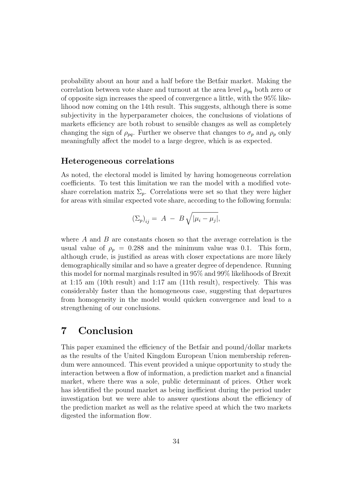probability about an hour and a half before the Betfair market. Making the correlation between vote share and turnout at the area level  $\rho_{pq}$  both zero or of opposite sign increases the speed of convergence a little, with the 95% likelihood now coming on the 14th result. This suggests, although there is some subjectivity in the hyperparameter choices, the conclusions of violations of markets efficiency are both robust to sensible changes as well as completely changing the sign of  $\rho_{pq}$ . Further we observe that changes to  $\sigma_p$  and  $\rho_p$  only meaningfully affect the model to a large degree, which is as expected.

#### Heterogeneous correlations

As noted, the electoral model is limited by having homogeneous correlation coefficients. To test this limitation we ran the model with a modified voteshare correlation matrix  $\Sigma_n$ . Correlations were set so that they were higher for areas with similar expected vote share, according to the following formula:

$$
(\Sigma_p)_{ij} = A - B \sqrt{|\mu_i - \mu_j|},
$$

where  $A$  and  $B$  are constants chosen so that the average correlation is the usual value of  $\rho_p = 0.288$  and the minimum value was 0.1. This form, although crude, is justified as areas with closer expectations are more likely demographically similar and so have a greater degree of dependence. Running this model for normal marginals resulted in 95% and 99% likelihoods of Brexit at 1:15 am (10th result) and 1:17 am (11th result), respectively. This was considerably faster than the homogeneous case, suggesting that departures from homogeneity in the model would quicken convergence and lead to a strengthening of our conclusions.

# 7 Conclusion

This paper examined the efficiency of the Betfair and pound/dollar markets as the results of the United Kingdom European Union membership referendum were announced. This event provided a unique opportunity to study the interaction between a flow of information, a prediction market and a financial market, where there was a sole, public determinant of prices. Other work has identified the pound market as being inefficient during the period under investigation but we were able to answer questions about the efficiency of the prediction market as well as the relative speed at which the two markets digested the information flow.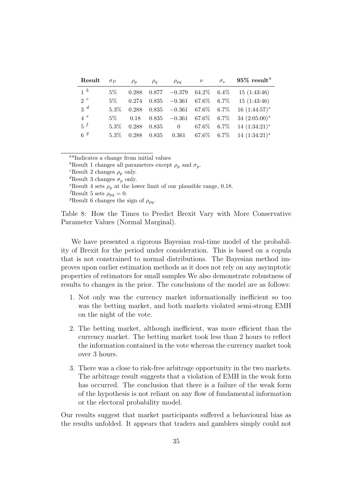| Result         | $\sigma_P$ | $\rho_p$ | $\rho_q$ | $\rho_{pq}$               | $\nu$            | $\sigma_{\nu}$ | $95\%$ result <sup>a</sup>                  |
|----------------|------------|----------|----------|---------------------------|------------------|----------------|---------------------------------------------|
| 1 <sup>b</sup> | $5\%$      | 0.288    | 0.877    | $-0.379$                  | $64.2\%$ $6.4\%$ |                | 15(1:43:46)                                 |
| $2^c$          | $5\%$      | 0.274    | 0.835    | $-0.361$ $67.6\%$ $6.7\%$ |                  |                | 15(1:43:46)                                 |
| $3^d$          | $5.3\%$    | 0.288    | 0.835    | $-0.361$ 67.6% 6.7%       |                  |                | $16(1:44:57)^*$                             |
| 4e             | $5\%$      | 0.18     | 0.835    | $-0.361$ 67.6% 6.7%       |                  |                | $34(2:05:00)^*$                             |
| $5^f$          | $5.3\%$    | 0.288    | 0.835    |                           | 0 67.6\% 6.7\%   |                | $14(1:34:21)^*$                             |
| 6 <sup>g</sup> | $5.3\%$    | 0.288    | 0.835    |                           |                  |                | $0.361$ $67.6\%$ $6.7\%$ $14$ $(1:34:21)^*$ |

<sup>a</sup>\*Indicates a change from initial values

<sup>b</sup>Result 1 changes all parameters except  $\rho_p$  and  $\sigma_p$ .

<sup>c</sup>Result 2 changes  $\rho_p$  only.

<sup>d</sup>Result 3 changes  $\sigma_p$  only.

<sup>e</sup>Result 4 sets  $\rho_p$  at the lower limit of our plausible range, 0.18.

*f*Result 5 sets  $\rho_{pq} = 0$ .

<sup>g</sup>Result 6 changes the sign of  $\rho_{pa}$ .

Table 8: How the Times to Predict Brexit Vary with More Conservative Parameter Values (Normal Marginal).

We have presented a rigorous Bayesian real-time model of the probability of Brexit for the period under consideration. This is based on a copula that is not constrained to normal distributions. The Bayesian method improves upon earlier estimation methods as it does not rely on any asymptotic properties of estimators for small samples We also demonstrate robustness of results to changes in the prior. The conclusions of the model are as follows:

- 1. Not only was the currency market informationally inefficient so too was the betting market, and both markets violated semi-strong EMH on the night of the vote.
- 2. The betting market, although inefficient, was more efficient than the currency market. The betting market took less than 2 hours to reflect the information contained in the vote whereas the currency market took over 3 hours.
- 3. There was a close to risk-free arbitrage opportunity in the two markets. The arbitrage result suggests that a violation of EMH in the weak form has occurred. The conclusion that there is a failure of the weak form of the hypothesis is not reliant on any flow of fundamental information or the electoral probability model.

Our results suggest that market participants suffered a behavioural bias as the results unfolded. It appears that traders and gamblers simply could not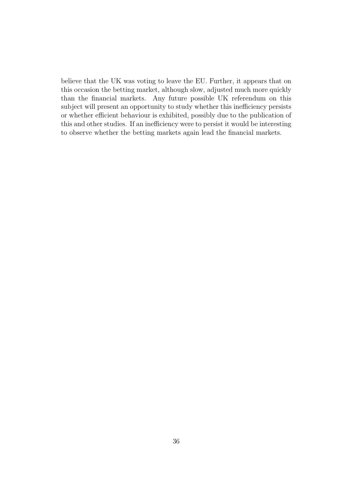believe that the UK was voting to leave the EU. Further, it appears that on this occasion the betting market, although slow, adjusted much more quickly than the financial markets. Any future possible UK referendum on this subject will present an opportunity to study whether this inefficiency persists or whether efficient behaviour is exhibited, possibly due to the publication of this and other studies. If an inefficiency were to persist it would be interesting to observe whether the betting markets again lead the financial markets.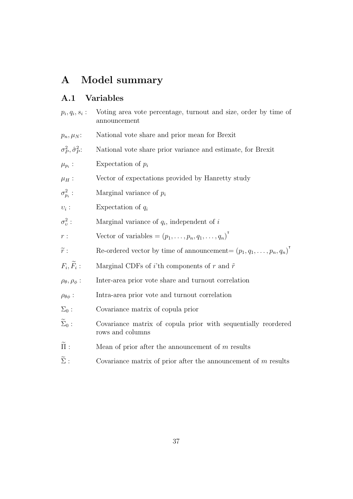# A Model summary

## A.1 Variables

 $p_i, q_i, s_i$ : Voting area vote percentage, turnout and size, order by time of announcement  $p_n, \mu_N$ : National vote share and prior mean for Brexit  $\sigma_P^2, \hat{\sigma}_P^2$ : National vote share prior variance and estimate, for Brexit  $\mu_{p_i}:$ Expectation of  $p_i$  $\mu_H$ : Vector of expectations provided by Hanretty study  $\sigma_{p_i}^2$ Marginal variance of  $p_i$  $v_i$ : Expectation of  $q_i$  $\sigma_v^2$  $\sum_{i=1}^{\infty}$  Marginal variance of  $q_i$ , independent of  $i$  $r:$  Vector of variables  $=(p_1,\ldots,p_n,q_1,\ldots,q_n)^T$  $\widetilde{r}$ : Re-ordered vector by time of announcement=  $(p_1, q_1, \ldots, p_n, q_n)$ <sup>T</sup>  $F_i, F_i$ Marginal CDFs of i'th components of r and  $\tilde{r}$  $\rho_{\theta}, \rho_{\phi}$ : Inter-area prior vote share and turnout correlation  $\rho_{\theta\phi}$ : Intra-area prior vote and turnout correlation  $\Sigma_0$ : Covariance matrix of copula prior  $\widetilde{\Sigma}_0$ : Covariance matrix of copula prior with sequentially reordered rows and columns  $\widetilde{\Pi}$  : Mean of prior after the announcement of m results  $\widetilde{\Sigma}$ : Covariance matrix of prior after the announcement of m results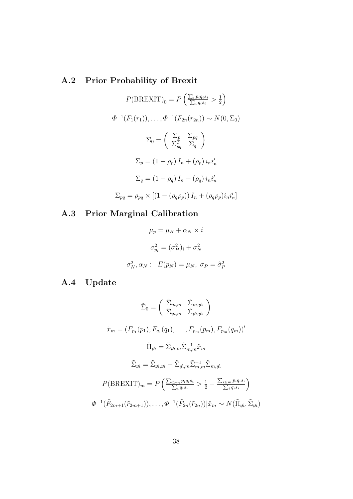# A.2 Prior Probability of Brexit

$$
P(BREXIT)_0 = P\left(\frac{\sum_i p_i q_i s_i}{\sum_i q_i s_i} > \frac{1}{2}\right)
$$

$$
\Phi^{-1}(F_1(r_1)), \dots, \Phi^{-1}(F_{2n}(r_{2n})) \sim N(0, \Sigma_0)
$$

$$
\Sigma_0 = \left(\begin{array}{cc} \Sigma_p & \Sigma_{pq} \\ \Sigma_{pq}^T & \Sigma_q \end{array}\right)
$$

$$
\Sigma_p = (1 - \rho_p) I_n + (\rho_p) i_n i'_n
$$

$$
\Sigma_q = (1 - \rho_q) I_n + (\rho_q) i_n i'_n
$$

$$
\Sigma_{pq} = \rho_{pq} \times [(1 - (\rho_q \rho_p)) I_n + (\rho_q \rho_p) i_n i'_n]
$$

# A.3 Prior Marginal Calibration

$$
\mu_p = \mu_H + \alpha_N \times i
$$

$$
\sigma_{p_i}^2 = (\sigma_H^2)_i + \sigma_N^2
$$

$$
\sigma_N^2, \alpha_N : E(p_N) = \mu_N, \ \sigma_P = \hat{\sigma}_P^2
$$

# A.4 Update

$$
\tilde{\Sigma}_{0} = \begin{pmatrix}\n\tilde{\Sigma}_{m,m} & \tilde{\Sigma}_{m,n} \\
\tilde{\Sigma}_{m,m} & \tilde{\Sigma}_{m,n}\n\end{pmatrix}
$$
\n
$$
\tilde{x}_{m} = (F_{p_{1}}(p_{1}), F_{q_{1}}(q_{1}), \dots, F_{p_{m}}(p_{m}), F_{p_{m}}(q_{m}))'
$$
\n
$$
\tilde{\Pi}_{m} = \tilde{\Sigma}_{m,m} \tilde{\Sigma}_{m,m}^{-1} \tilde{x}_{m}
$$
\n
$$
\tilde{\Sigma}_{m} = \tilde{\Sigma}_{m,m} - \tilde{\Sigma}_{m,m} \tilde{\Sigma}_{m,m}^{-1} \tilde{\Sigma}_{m,m}
$$
\n
$$
P(\text{BREXIT})_{m} = P\left(\frac{\Sigma_{i>m} p_{i} q_{i} s_{i}}{\Sigma_{i} q_{i} s_{i}} > \frac{1}{2} - \frac{\Sigma_{i \le m} p_{i} q_{i} s_{i}}{\Sigma_{i} q_{i} s_{i}}\right)
$$
\n
$$
\Phi^{-1}(\tilde{F}_{2m+1}(\tilde{r}_{2m+1})), \dots, \Phi^{-1}(\tilde{F}_{2n}(\tilde{r}_{2n})) | \tilde{x}_{m} \sim N(\tilde{\Pi}_{m}, \tilde{\Sigma}_{m})
$$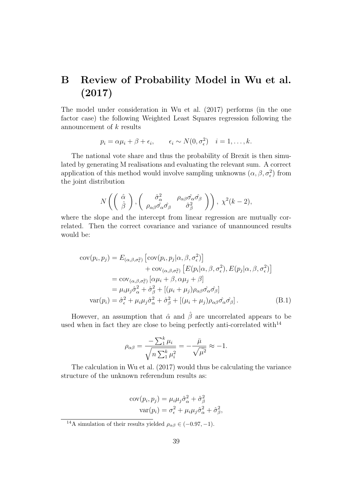# B Review of Probability Model in Wu et al. (2017)

The model under consideration in Wu et al. (2017) performs (in the one factor case) the following Weighted Least Squares regression following the announcement of  $k$  results

$$
p_i = \alpha \mu_i + \beta + \epsilon_i, \qquad \epsilon_i \sim N(0, \sigma_{\epsilon}^2) \quad i = 1, \ldots, k.
$$

The national vote share and thus the probability of Brexit is then simulated by generating M realisations and evaluating the relevant sum. A correct application of this method would involve sampling unknowns  $(\alpha, \beta, \sigma_{\epsilon}^2)$  from the joint distribution

$$
N\left(\left(\begin{array}{c}\hat{\alpha} \\ \hat{\beta}\end{array}\right), \left(\begin{array}{cc}\hat{\sigma}_{\alpha}^2 & \rho_{\alpha\beta}\hat{\sigma}_{\alpha}\hat{\sigma}_{\beta} \\ \rho_{\alpha\beta}\hat{\sigma}_{\alpha}\hat{\sigma}_{\beta} & \hat{\sigma}_{\beta}^2\end{array}\right)\right), \ \chi^2(k-2),
$$

where the slope and the intercept from linear regression are mutually correlated. Then the correct covariance and variance of unannounced results would be:

$$
cov(p_i, p_j) = E_{(\alpha, \beta, \sigma_{\epsilon}^2)} [cov(p_i, p_j | \alpha, \beta, \sigma_{\epsilon}^2)]
$$
  
+ 
$$
cov_{(\alpha, \beta, \sigma_{\epsilon}^2)} [E(p_i | \alpha, \beta, \sigma_{\epsilon}^2), E(p_j | \alpha, \beta, \sigma_{\epsilon}^2)]
$$
  
= 
$$
cov_{(\alpha, \beta, \sigma_{\epsilon}^2)} [\alpha \mu_i + \beta, \alpha \mu_j + \beta]
$$
  
= 
$$
\mu_i \mu_j \hat{\sigma}_{\alpha}^2 + \hat{\sigma}_{\beta}^2 + [(\mu_i + \mu_j) \rho_{\alpha\beta} \hat{\sigma}_{\alpha} \hat{\sigma}_{\beta}]
$$
  

$$
var(p_i) = \hat{\sigma}_{\epsilon}^2 + \mu_i \mu_j \hat{\sigma}_{\alpha}^2 + \hat{\sigma}_{\beta}^2 + [(\mu_i + \mu_j) \rho_{\alpha\beta} \hat{\sigma}_{\alpha} \hat{\sigma}_{\beta}].
$$
 (B.1)

However, an assumption that  $\hat{\alpha}$  and  $\hat{\beta}$  are uncorrelated appears to be used when in fact they are close to being perfectly anti-correlated with $14$ 

$$
\rho_{\alpha\beta} = \frac{-\sum_{1}^{k} \mu_i}{\sqrt{n \sum_{1}^{k} \mu_i^2}} = -\frac{\bar{\mu}}{\sqrt{\bar{\mu}^2}} \approx -1.
$$

The calculation in Wu et al. (2017) would thus be calculating the variance structure of the unknown referendum results as:

$$
cov(p_i, p_j) = \mu_i \mu_j \hat{\sigma}_{\alpha}^2 + \hat{\sigma}_{\beta}^2
$$

$$
var(p_i) = \sigma_{\epsilon}^2 + \mu_i \mu_j \hat{\sigma}_{\alpha}^2 + \hat{\sigma}_{\beta}^2,
$$

<sup>&</sup>lt;sup>14</sup>A simulation of their results yielded  $\rho_{\alpha\beta} \in (-0.97, -1)$ .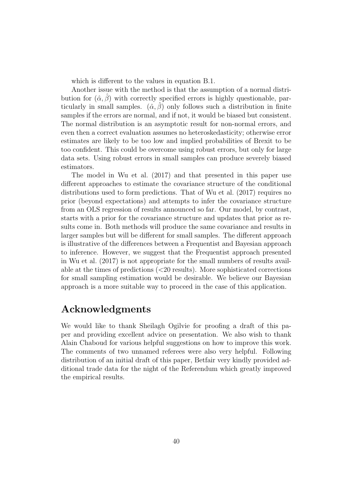which is different to the values in equation B.1.

Another issue with the method is that the assumption of a normal distribution for  $(\hat{\alpha}, \beta)$  with correctly specified errors is highly questionable, particularly in small samples.  $(\hat{\alpha}, \hat{\beta})$  only follows such a distribution in finite samples if the errors are normal, and if not, it would be biased but consistent. The normal distribution is an asymptotic result for non-normal errors, and even then a correct evaluation assumes no heteroskedasticity; otherwise error estimates are likely to be too low and implied probabilities of Brexit to be too confident. This could be overcome using robust errors, but only for large data sets. Using robust errors in small samples can produce severely biased estimators.

The model in Wu et al. (2017) and that presented in this paper use different approaches to estimate the covariance structure of the conditional distributions used to form predictions. That of Wu et al. (2017) requires no prior (beyond expectations) and attempts to infer the covariance structure from an OLS regression of results announced so far. Our model, by contrast, starts with a prior for the covariance structure and updates that prior as results come in. Both methods will produce the same covariance and results in larger samples but will be different for small samples. The different approach is illustrative of the differences between a Frequentist and Bayesian approach to inference. However, we suggest that the Frequentist approach presented in Wu et al. (2017) is not appropriate for the small numbers of results available at the times of predictions (<20 results). More sophisticated corrections for small sampling estimation would be desirable. We believe our Bayesian approach is a more suitable way to proceed in the case of this application.

# Acknowledgments

We would like to thank Sheilagh Ogilvie for proofing a draft of this paper and providing excellent advice on presentation. We also wish to thank Alain Chaboud for various helpful suggestions on how to improve this work. The comments of two unnamed referees were also very helpful. Following distribution of an initial draft of this paper, Betfair very kindly provided additional trade data for the night of the Referendum which greatly improved the empirical results.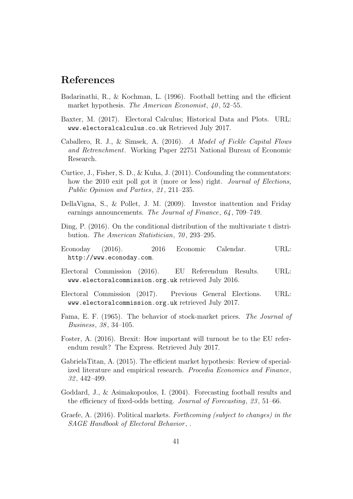# References

- Badarinathi, R., & Kochman, L. (1996). Football betting and the efficient market hypothesis. The American Economist,  $40, 52-55$ .
- Baxter, M. (2017). Electoral Calculus; Historical Data and Plots. URL: www.electoralcalculus.co.uk Retrieved July 2017.
- Caballero, R. J., & Simsek, A. (2016). A Model of Fickle Capital Flows and Retrenchment. Working Paper 22751 National Bureau of Economic Research.
- Curtice, J., Fisher, S. D., & Kuha, J. (2011). Confounding the commentators: how the 2010 exit poll got it (more or less) right. *Journal of Elections*, Public Opinion and Parties, 21, 211–235.
- DellaVigna, S., & Pollet, J. M. (2009). Investor inattention and Friday earnings announcements. The Journal of Finance, 64, 709–749.
- Ding, P. (2016). On the conditional distribution of the multivariate t distribution. The American Statistician, 70, 293–295.
- Econoday (2016). 2016 Economic Calendar. URL: http://www.econoday.com.
- Electoral Commission (2016). EU Referendum Results. URL: www.electoralcommission.org.uk retrieved July 2016.
- Electoral Commission (2017). Previous General Elections. URL: www.electoralcommission.org.uk retrieved July 2017.
- Fama, E. F. (1965). The behavior of stock-market prices. The Journal of Business, 38 , 34–105.
- Foster, A. (2016). Brexit: How important will turnout be to the EU referendum result? The Express. Retrieved July 2017.
- GabrielaTitan, A. (2015). The efficient market hypothesis: Review of specialized literature and empirical research. Procedia Economics and Finance, 32 , 442–499.
- Goddard, J., & Asimakopoulos, I. (2004). Forecasting football results and the efficiency of fixed-odds betting. Journal of Forecasting, 23 , 51–66.
- Graefe, A. (2016). Political markets. Forthcoming (subject to changes) in the SAGE Handbook of Electoral Behavior, .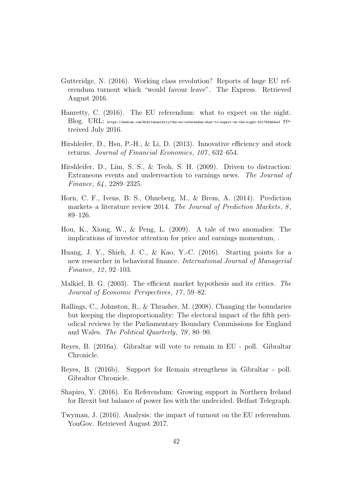- Gutteridge, N. (2016). Working class revolution? Reports of huge EU referendum turnout which "would favour leave". The Express. Retrieved August 2016.
- Hanretty, C. (2016). The EU referendum: what to expect on the night.  $\mathrm{Blog}.$   $\mathrm{URL:}$  https://medium.com/@chrishanretty/the-eu-referendum-what-to-expect-on-the-night-521792dd3eef  $\mathrm{re}$ treived July 2016.
- Hirshleifer, D., Hsu, P.-H., & Li, D. (2013). Innovative efficiency and stock returns. Journal of Financial Economics, 107 , 632–654.
- Hirshleifer, D., Lim, S. S., & Teoh, S. H. (2009). Driven to distraction: Extraneous events and underreaction to earnings news. The Journal of Finance, 64 , 2289–2325.
- Horn, C. F., Ivens, B. S., Ohneberg, M., & Brem, A. (2014). Prediction markets–a literature review 2014. The Journal of Prediction Markets,  $8$ , 89–126.
- Hou, K., Xiong, W., & Peng, L. (2009). A tale of two anomalies: The implications of investor attention for price and earnings momentum, .
- Huang, J. Y., Shieh, J. C., & Kao, Y.-C. (2016). Starting points for a new researcher in behavioral finance. International Journal of Managerial Finance, 12, 92–103.
- Malkiel, B. G. (2003). The efficient market hypothesis and its critics. The Journal of Economic Perspectives, 17 , 59–82.
- Rallings, C., Johnston, R., & Thrasher, M. (2008). Changing the boundaries but keeping the disproportionality: The electoral impact of the fifth periodical reviews by the Parliamentary Boundary Commissions for England and Wales. The Political Quarterly, 79 , 80–90.
- Reyes, B. (2016a). Gibraltar will vote to remain in EU poll. Gibraltar Chronicle.
- Reyes, B. (2016b). Support for Remain strengthens in Gibraltar poll. Gibraltor Chronicle.
- Shapiro, Y. (2016). Eu Referendum: Growing support in Northern Ireland for Brexit but balance of power lies with the undecided. Belfast Telegraph.
- Twyman, J. (2016). Analysis: the impact of turnout on the EU referendum. YouGov. Retrieved August 2017.